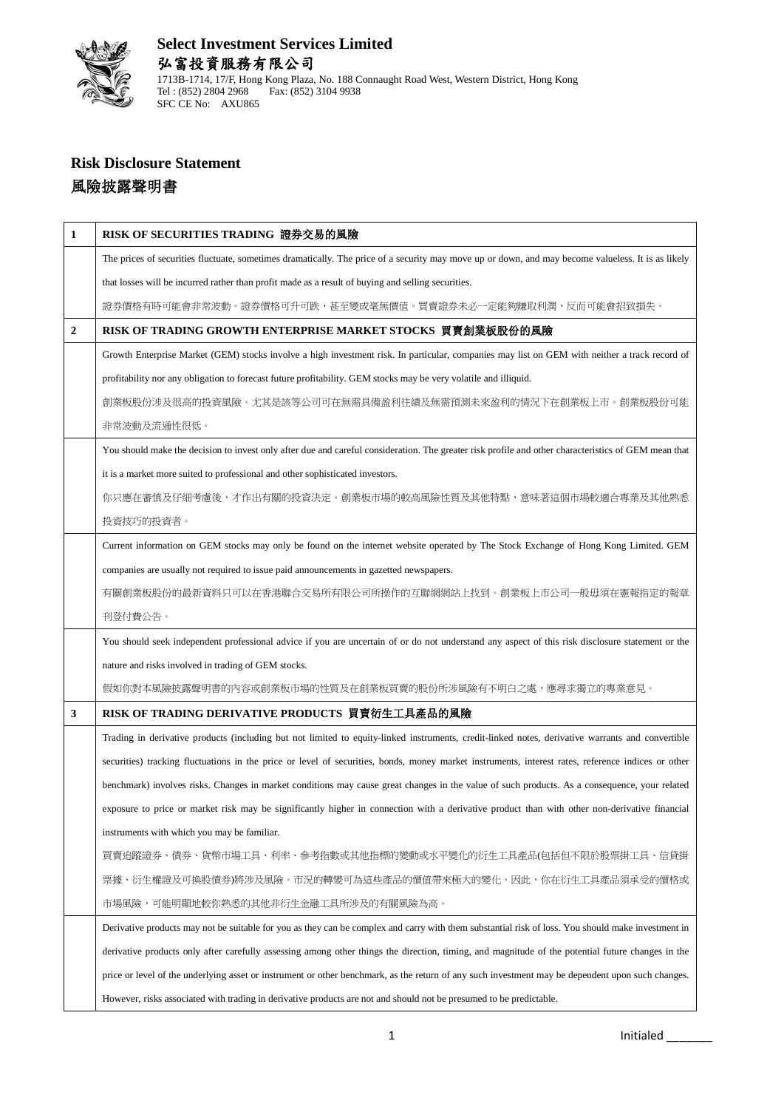

# **Risk Disclosure Statement** 風險披露聲明書

| 1              | RISK OF SECURITIES TRADING 證券交易的風險                                                                                                                   |
|----------------|------------------------------------------------------------------------------------------------------------------------------------------------------|
|                | The prices of securities fluctuate, sometimes dramatically. The price of a security may move up or down, and may become valueless. It is as likely   |
|                | that losses will be incurred rather than profit made as a result of buying and selling securities.                                                   |
|                | 證券價格有時可能會非常波動。證券價格可升可跌,甚至變成毫無價值。買賣證券未必一定能夠賺取利潤,反而可能會招致損失。                                                                                            |
| $\overline{2}$ | RISK OF TRADING GROWTH ENTERPRISE MARKET STOCKS 買賣創業板股份的風險                                                                                           |
|                | Growth Enterprise Market (GEM) stocks involve a high investment risk. In particular, companies may list on GEM with neither a track record of        |
|                | profitability nor any obligation to forecast future profitability. GEM stocks may be very volatile and illiquid.                                     |
|                | 創業板股份涉及很高的投資風險。尤其是該等公司可在無需具備盈利往績及無需預測未來盈利的情況下在創業板上市。創業板股份可能                                                                                          |
|                | 非常波動及流通性很低。                                                                                                                                          |
|                | You should make the decision to invest only after due and careful consideration. The greater risk profile and other characteristics of GEM mean that |
|                | it is a market more suited to professional and other sophisticated investors.                                                                        |
|                | 你只應在審慎及仔細考慮後,才作出有關的投資決定。創業板市場的較高風險性質及其他特點,意味著這個市場較適合專業及其他熟悉                                                                                          |
|                | 投資技巧的投資者。                                                                                                                                            |
|                | Current information on GEM stocks may only be found on the internet website operated by The Stock Exchange of Hong Kong Limited. GEM                 |
|                | companies are usually not required to issue paid announcements in gazetted newspapers.                                                               |
|                | 有關創業板股份的最新資料只可以在香港聯合交易所有限公司所操作的互聯網網站上找到。創業板上市公司一般毋須在憲報指定的報章                                                                                          |
|                | 刊登付費公告。                                                                                                                                              |
|                | You should seek independent professional advice if you are uncertain of or do not understand any aspect of this risk disclosure statement or the     |
|                | nature and risks involved in trading of GEM stocks.                                                                                                  |
|                | 假如你對本風險披露聲明書的內容或創業板市場的性質及在創業板買賣的股份所涉風險有不明白之處,應尋求獨立的專業意見。                                                                                             |
| 3              | RISK OF TRADING DERIVATIVE PRODUCTS 買賣衍生工具產品的風險                                                                                                      |
|                | Trading in derivative products (including but not limited to equity-linked instruments, credit-linked notes, derivative warrants and convertible     |
|                | securities) tracking fluctuations in the price or level of securities, bonds, money market instruments, interest rates, reference indices or other   |
|                | benchmark) involves risks. Changes in market conditions may cause great changes in the value of such products. As a consequence, your related        |
|                | exposure to price or market risk may be significantly higher in connection with a derivative product than with other non-derivative financial        |
|                | instruments with which you may be familiar.                                                                                                          |
|                | 買賣追蹤證券、債券、貨幣市場工具、利率、參考指數或其他指標的變動或水平變化的衍生工具產品(包括但不限於股票掛工具、信貸掛                                                                                         |
|                | 票據、衍生權證及可換股債券)將涉及風險。市況的轉變可為這些產品的價值帶來極大的變化。因此,你在衍生工具產品須承受的價格或                                                                                         |
|                | 市場風險,可能明顯地較你熟悉的其他非衍生金融工具所涉及的有關風險為高。                                                                                                                  |
|                | Derivative products may not be suitable for you as they can be complex and carry with them substantial risk of loss. You should make investment in   |
|                | derivative products only after carefully assessing among other things the direction, timing, and magnitude of the potential future changes in the    |
|                | price or level of the underlying asset or instrument or other benchmark, as the return of any such investment may be dependent upon such changes.    |
|                | However, risks associated with trading in derivative products are not and should not be presumed to be predictable.                                  |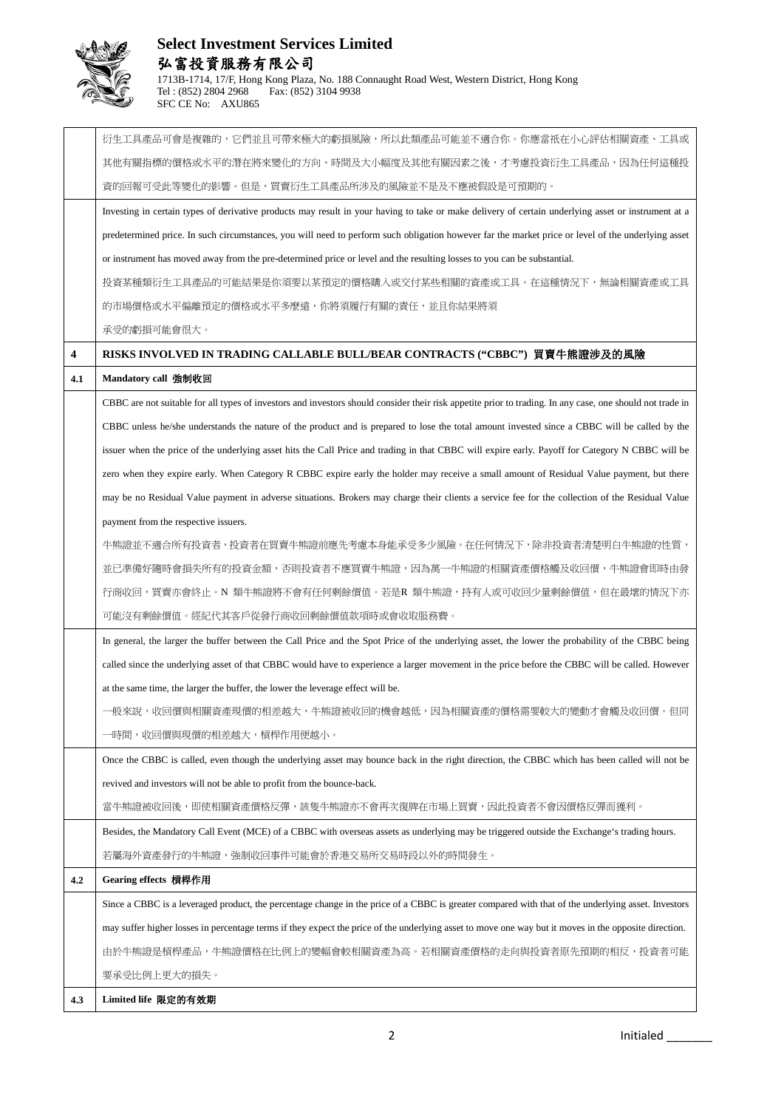

|     | 衍生工具產品可會是複雜的,它們並且可帶來極大的虧損風險,所以此類產品可能並不適合你。你應當祇在小心評估相關資產、工具或                                                                                               |
|-----|-----------------------------------------------------------------------------------------------------------------------------------------------------------|
|     | 其他有關指標的價格或水平的潛在將來變化的方向、時間及大小幅度及其他有關因素之後,才考慮投資衍生工具產品,因為任何這種投                                                                                               |
|     | 資的回報可受此等變化的影響。但是,買賣衍生工具產品所涉及的風險並不是及不應被假設是可預期的。                                                                                                            |
|     | Investing in certain types of derivative products may result in your having to take or make delivery of certain underlying asset or instrument at a       |
|     | predetermined price. In such circumstances, you will need to perform such obligation however far the market price or level of the underlying asset        |
|     | or instrument has moved away from the pre-determined price or level and the resulting losses to you can be substantial.                                   |
|     | 投資某種類衍生工具產品的可能結果是你須要以某預定的價格購人或交付某些相關的資產或工具。在這種情況下,無論相關資產或工具                                                                                               |
|     | 的市場價格或水平偏離預定的價格或水平多麼遠,你將須履行有關的責任,並且你結果將須                                                                                                                  |
|     | 承受的虧損可能會很大。                                                                                                                                               |
| 4   | RISKS INVOLVED IN TRADING CALLABLE BULL/BEAR CONTRACTS ("CBBC") 買賣牛熊證涉及的風險                                                                                |
| 4.1 | Mandatory call 強制收回                                                                                                                                       |
|     | CBBC are not suitable for all types of investors and investors should consider their risk appetite prior to trading. In any case, one should not trade in |
|     | CBBC unless he/she understands the nature of the product and is prepared to lose the total amount invested since a CBBC will be called by the             |
|     | issuer when the price of the underlying asset hits the Call Price and trading in that CBBC will expire early. Payoff for Category N CBBC will be          |
|     | zero when they expire early. When Category R CBBC expire early the holder may receive a small amount of Residual Value payment, but there                 |
|     | may be no Residual Value payment in adverse situations. Brokers may charge their clients a service fee for the collection of the Residual Value           |
|     | payment from the respective issuers.                                                                                                                      |
|     | 牛熊證並不適合所有投資者,投資者在買賣牛熊證前應先考慮本身能承受多少風險。在任何情況下,除非投資者清楚明白牛熊證的性質,                                                                                              |
|     | 並已準備好隨時會損失所有的投資金額,否則投資者不應買賣牛熊證,因為萬一牛熊證的相關資產價格觸及收回價,牛熊證會即時由發                                                                                               |
|     | 行商收回,買賣亦會終止。N 類牛熊證將不會有任何剩餘價值。若是R 類牛熊證,持有人或可收回少量剩餘價值,但在最壞的情況下亦                                                                                             |
|     | 可能沒有剩餘價值。經紀代其客戶從發行商收回剩餘價值款項時或會收取服務費。                                                                                                                      |
|     | In general, the larger the buffer between the Call Price and the Spot Price of the underlying asset, the lower the probability of the CBBC being          |
|     | called since the underlying asset of that CBBC would have to experience a larger movement in the price before the CBBC will be called. However            |
|     | at the same time, the larger the buffer, the lower the leverage effect will be.                                                                           |
|     | ·般來說,收回價與相關資產現價的相差越大,牛熊證被收回的機會越低,因為相關資產的價格需要較大的變動才會觸及收回價。但同                                                                                               |
|     | 一時間,收回價與現價的相差越大,槓桿作用便越小。                                                                                                                                  |
|     | Once the CBBC is called, even though the underlying asset may bounce back in the right direction, the CBBC which has been called will not be              |
|     | revived and investors will not be able to profit from the bounce-back.                                                                                    |
|     | 當牛熊證被收回後,即使相關資產價格反彈,該隻牛熊證亦不會再次復牌在市場上買賣,因此投資者不會因價格反彈而獲利。                                                                                                   |
|     | Besides, the Mandatory Call Event (MCE) of a CBBC with overseas assets as underlying may be triggered outside the Exchange's trading hours.               |
|     | 若屬海外資產發行的牛熊證,強制收回事件可能會於香港交易所交易時段以外的時間發生。                                                                                                                  |
| 4.2 | Gearing effects 槓桿作用                                                                                                                                      |
|     | Since a CBBC is a leveraged product, the percentage change in the price of a CBBC is greater compared with that of the underlying asset. Investors        |
|     | may suffer higher losses in percentage terms if they expect the price of the underlying asset to move one way but it moves in the opposite direction.     |
|     | 由於牛熊證是槓桿產品,牛熊證價格在比例上的變幅會較相關資產為高。若相關資產價格的走向與投資者原先預期的相反,投資者可能                                                                                               |
|     | 要承受比例上更大的損失。                                                                                                                                              |
| 4.3 | Limited life 限定的有效期                                                                                                                                       |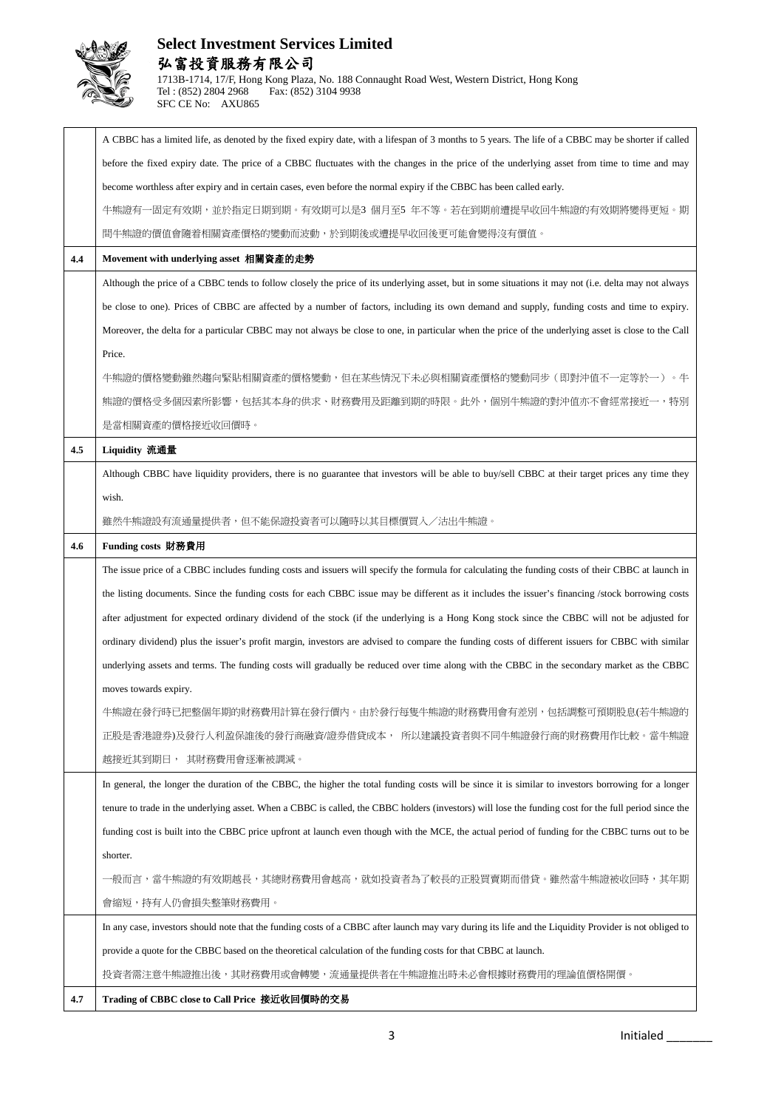

|     | A CBBC has a limited life, as denoted by the fixed expiry date, with a lifespan of 3 months to 5 years. The life of a CBBC may be shorter if called    |
|-----|--------------------------------------------------------------------------------------------------------------------------------------------------------|
|     | before the fixed expiry date. The price of a CBBC fluctuates with the changes in the price of the underlying asset from time to time and may           |
|     | become worthless after expiry and in certain cases, even before the normal expiry if the CBBC has been called early.                                   |
|     | 一固定有效期,並於指定日期到期。有效期可以是3 個月至5 年不等。若在到期前遭提早收回牛熊證的有效期將變得更短。期<br>牛熊證有                                                                                      |
|     | 間牛熊證的價值會隨着相關資產價格的變動而波動,於到期後或遭提早收回後更可能會變得沒有價值。                                                                                                          |
| 4.4 | Movement with underlying asset 相關資產的走勢                                                                                                                 |
|     | Although the price of a CBBC tends to follow closely the price of its underlying asset, but in some situations it may not (i.e. delta may not always   |
|     | be close to one). Prices of CBBC are affected by a number of factors, including its own demand and supply, funding costs and time to expiry.           |
|     | Moreover, the delta for a particular CBBC may not always be close to one, in particular when the price of the underlying asset is close to the Call    |
|     | Price.                                                                                                                                                 |
|     | 牛熊證的價格變動雖然趨向緊貼相關資產的價格變動,但在某些情況下未必與相關資產價格的變動同步(即對沖值不一定等於一)。牛                                                                                            |
|     | 熊證的價格受多個因素所影響,包括其本身的供求、財務費用及距離到期的時限。此外,個別牛熊證的對沖值亦不會經常接近一,特別                                                                                            |
|     | 是當相關資產的價格接近收回價時。                                                                                                                                       |
| 4.5 | Liquidity 流通量                                                                                                                                          |
|     | Although CBBC have liquidity providers, there is no guarantee that investors will be able to buy/sell CBBC at their target prices any time they        |
|     | wish.                                                                                                                                                  |
|     | 雖然牛熊證設有流通量提供者,但不能保證投資者可以隨時以其目標價買入/沽出牛熊證。                                                                                                               |
| 4.6 | Funding costs 財務費用                                                                                                                                     |
|     | The issue price of a CBBC includes funding costs and issuers will specify the formula for calculating the funding costs of their CBBC at launch in     |
|     |                                                                                                                                                        |
|     | the listing documents. Since the funding costs for each CBBC issue may be different as it includes the issuer's financing /stock borrowing costs       |
|     | after adjustment for expected ordinary dividend of the stock (if the underlying is a Hong Kong stock since the CBBC will not be adjusted for           |
|     | ordinary dividend) plus the issuer's profit margin, investors are advised to compare the funding costs of different issuers for CBBC with similar      |
|     | underlying assets and terms. The funding costs will gradually be reduced over time along with the CBBC in the secondary market as the CBBC             |
|     | moves towards expiry.                                                                                                                                  |
|     | 牛熊證在發行時已把整個年期的財務費用計算在發行價內。由於發行每隻牛熊證的財務費用會有差別,包括調整可預期股息(若牛熊證的                                                                                           |
|     | 正股是杳港證券)及發行人利盈保誰後的發行商融資/證券借貸成本, 所以建議投資者與不同牛熊證發行商的財務費用作比較。當牛熊證                                                                                          |
|     | 越接近其到期日, 其財務費用會逐漸被調減。                                                                                                                                  |
|     | In general, the longer the duration of the CBBC, the higher the total funding costs will be since it is similar to investors borrowing for a longer    |
|     | tenure to trade in the underlying asset. When a CBBC is called, the CBBC holders (investors) will lose the funding cost for the full period since the  |
|     | funding cost is built into the CBBC price upfront at launch even though with the MCE, the actual period of funding for the CBBC turns out to be        |
|     | shorter.                                                                                                                                               |
|     | 一般而言,當牛熊證的有效期越長,其總財務費用會越高,就如投資者為了較長的正股買賣期而借貸。雖然當牛熊證被收回時,其年期                                                                                            |
|     | 會縮短,持有人仍會損失整筆財務費用。                                                                                                                                     |
|     | In any case, investors should note that the funding costs of a CBBC after launch may vary during its life and the Liquidity Provider is not obliged to |
|     | provide a quote for the CBBC based on the theoretical calculation of the funding costs for that CBBC at launch.                                        |
|     | 投資者需注意牛熊證推出後,其財務費用或會轉變,流通量提供者在牛熊證推出時未必會根據財務費用的理論值價格開價。                                                                                                 |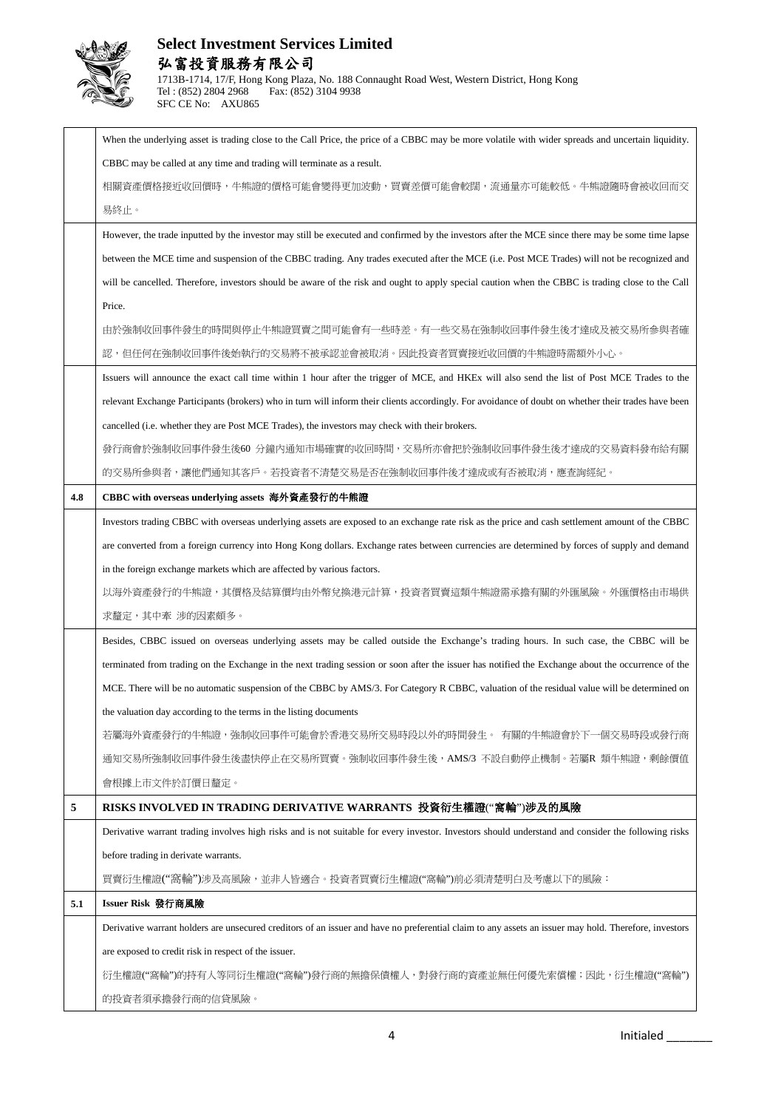

|     | When the underlying asset is trading close to the Call Price, the price of a CBBC may be more volatile with wider spreads and uncertain liquidity.    |
|-----|-------------------------------------------------------------------------------------------------------------------------------------------------------|
|     | CBBC may be called at any time and trading will terminate as a result.                                                                                |
|     | 相關資產價格接近收回價時,牛熊證的價格可能會變得更加波動,買賣差價可能會較闊,流通量亦可能較低。牛熊證隨時會被收回而交                                                                                           |
|     | 易終止。                                                                                                                                                  |
|     | However, the trade inputted by the investor may still be executed and confirmed by the investors after the MCE since there may be some time lapse     |
|     | between the MCE time and suspension of the CBBC trading. Any trades executed after the MCE (i.e. Post MCE Trades) will not be recognized and          |
|     | will be cancelled. Therefore, investors should be aware of the risk and ought to apply special caution when the CBBC is trading close to the Call     |
|     | Price.                                                                                                                                                |
|     | 由於強制收回事件發生的時間與停止牛熊證買賣之間可能會有一些時差。有一些交易在強制收回事件發生後才達成及被交易所參與者確                                                                                           |
|     | 認,但任何在強制收回事件後始執行的交易將不被承認並會被取消。因此投資者買賣接近收回價的牛熊證時需額外小心。                                                                                                 |
|     | Issuers will announce the exact call time within 1 hour after the trigger of MCE, and HKEx will also send the list of Post MCE Trades to the          |
|     | relevant Exchange Participants (brokers) who in turn will inform their clients accordingly. For avoidance of doubt on whether their trades have been  |
|     | cancelled (i.e. whether they are Post MCE Trades), the investors may check with their brokers.                                                        |
|     | 發行商會於強制收回事件發生後60 分鐘內通知市場確實的收回時間,交易所亦會把於強制收回事件發生後才達成的交易資料發布給有關                                                                                         |
|     | 的交易所参與者,讓他們通知其客戶。若投資者不清楚交易是否在強制收回事件後才達成或有否被取消,應查詢經紀。                                                                                                  |
| 4.8 | CBBC with overseas underlying assets 海外資產發行的牛熊證                                                                                                       |
|     | Investors trading CBBC with overseas underlying assets are exposed to an exchange rate risk as the price and cash settlement amount of the CBBC       |
|     | are converted from a foreign currency into Hong Kong dollars. Exchange rates between currencies are determined by forces of supply and demand         |
|     | in the foreign exchange markets which are affected by various factors.                                                                                |
|     | 以海外資產發行的牛熊證,其價格及結算價均由外幣兌換港元計算,投資者買賣這類牛熊證需承擔有關的外匯風險。外匯價格由市場供                                                                                           |
|     | 求釐定,其中牽 涉的因素頗多。                                                                                                                                       |
|     | Besides, CBBC issued on overseas underlying assets may be called outside the Exchange's trading hours. In such case, the CBBC will be                 |
|     | terminated from trading on the Exchange in the next trading session or soon after the issuer has notified the Exchange about the occurrence of the    |
|     | MCE. There will be no automatic suspension of the CBBC by AMS/3. For Category R CBBC, valuation of the residual value will be determined on           |
|     | the valuation day according to the terms in the listing documents                                                                                     |
|     | 若屬海外資產發行的牛熊證,強制收回事件可能會於香港交易所交易時段以外的時間發生。 有關的牛熊證會於下一個交易時段或發行商                                                                                          |
|     | 通知交易所強制收回事件發生後盡快停止在交易所買賣。強制收回事件發生後, AMS/3 不設自動停止機制。若屬R 類牛熊證, 剩餘價值                                                                                     |
|     | 會根據上市文件於訂價日釐定。                                                                                                                                        |
| 5   | RISKS INVOLVED IN TRADING DERIVATIVE WARRANTS 投資衍生權證("窩輪")涉及的風險                                                                                       |
|     | Derivative warrant trading involves high risks and is not suitable for every investor. Investors should understand and consider the following risks   |
|     | before trading in derivate warrants.                                                                                                                  |
|     | 買賣衍生權證("窩輪")涉及高風險,並非人皆適合。投資者買賣衍生權證("窩輪")前必須清楚明白及考慮以下的風險:                                                                                              |
| 5.1 | Issuer Risk 發行商風險                                                                                                                                     |
|     | Derivative warrant holders are unsecured creditors of an issuer and have no preferential claim to any assets an issuer may hold. Therefore, investors |
|     | are exposed to credit risk in respect of the issuer.                                                                                                  |
|     | 衍生權證("窩輪")的持有人等同衍生權證("窩輪")發行商的無擔保債權人,對發行商的資產並無任何優先索償權;因此,衍生權證("窩輪")                                                                                   |
|     | 的投資者須承擔發行商的信貸風險。                                                                                                                                      |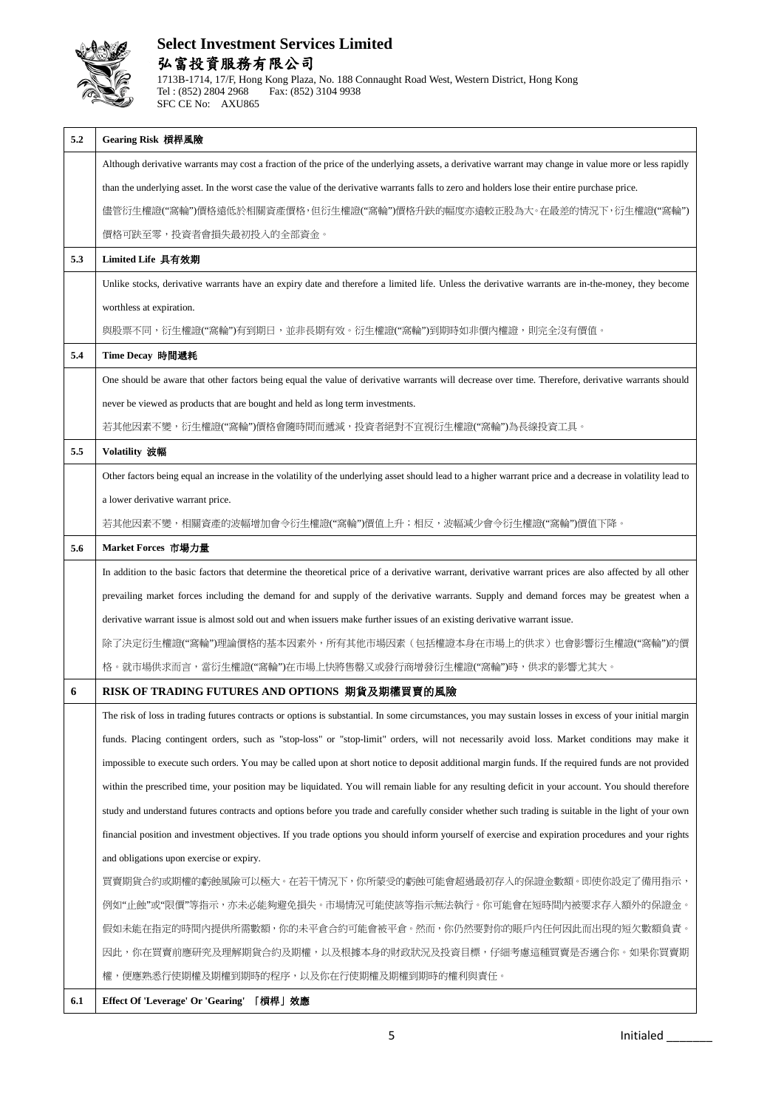

| 5.2 | Gearing Risk 槓桿風險                                                                                                                                          |
|-----|------------------------------------------------------------------------------------------------------------------------------------------------------------|
|     | Although derivative warrants may cost a fraction of the price of the underlying assets, a derivative warrant may change in value more or less rapidly      |
|     | than the underlying asset. In the worst case the value of the derivative warrants falls to zero and holders lose their entire purchase price.              |
|     | 儘管衍生權證("窩輪")價格遠低於相關資產價格,但衍生權證("窩輪")價格升趺的幅度亦遠較正股為大。在最差的情況下,衍生權證("窩輪")                                                                                       |
|     | 價格可趺至零,投資者會損失最初投入的全部資金。                                                                                                                                    |
| 5.3 | Limited Life 具有效期                                                                                                                                          |
|     | Unlike stocks, derivative warrants have an expiry date and therefore a limited life. Unless the derivative warrants are in-the-money, they become          |
|     | worthless at expiration.                                                                                                                                   |
|     | 與股票不同,衍生權證("窩輪")有到期日,並非長期有效。衍生權證("窩輪")到期時如非價內權證,則完全沒有價值。                                                                                                   |
| 5.4 | Time Decay 時間遞耗                                                                                                                                            |
|     | One should be aware that other factors being equal the value of derivative warrants will decrease over time. Therefore, derivative warrants should         |
|     | never be viewed as products that are bought and held as long term investments.                                                                             |
|     | 若其他因素不變,衍生權證("窩輪")價格會隨時間而遞減,投資者絕對不宜視衍生權證("窩輪")為長線投資工具。                                                                                                     |
| 5.5 | Volatility 波幅                                                                                                                                              |
|     | Other factors being equal an increase in the volatility of the underlying asset should lead to a higher warrant price and a decrease in volatility lead to |
|     | a lower derivative warrant price.                                                                                                                          |
|     | 若其他因素不變,相關資產的波幅增加會令衍生權證("窩輪")價值上升;相反,波幅減少會令衍生權證("窩輪")價值下降。                                                                                                 |
| 5.6 | Market Forces 市場力量                                                                                                                                         |
|     | In addition to the basic factors that determine the theoretical price of a derivative warrant, derivative warrant prices are also affected by all other    |
|     | prevailing market forces including the demand for and supply of the derivative warrants. Supply and demand forces may be greatest when a                   |
|     | derivative warrant issue is almost sold out and when issuers make further issues of an existing derivative warrant issue.                                  |
|     | 除了決定衍生權證("窩輪")理論價格的基本因素外,所有其他市場因素(包括權證本身在市場上的供求)也會影響衍生權證("窩輪")的價                                                                                           |
|     | 格。就市場供求而言,當衍生權證("窩輪")在市場上快將售罄又或發行商增發衍生權證("窩輪")時,供求的影響尤其大。                                                                                                  |
| 6   | RISK OF TRADING FUTURES AND OPTIONS 期貨及期權買賣的風險                                                                                                             |
|     | The risk of loss in trading futures contracts or options is substantial. In some circumstances, you may sustain losses in excess of your initial margin    |
|     | funds. Placing contingent orders, such as "stop-loss" or "stop-limit" orders, will not necessarily avoid loss. Market conditions may make it               |
|     | impossible to execute such orders. You may be called upon at short notice to deposit additional margin funds. If the required funds are not provided       |
|     | within the prescribed time, your position may be liquidated. You will remain liable for any resulting deficit in your account. You should therefore        |
|     | study and understand futures contracts and options before you trade and carefully consider whether such trading is suitable in the light of your own       |
|     | financial position and investment objectives. If you trade options you should inform yourself of exercise and expiration procedures and your rights        |
|     | and obligations upon exercise or expiry.                                                                                                                   |
|     | 買賣期貨合約或期權的虧蝕風險可以極大。在若干情況下,你所蒙受的虧蝕可能會超過最初存入的保證金數額。即使你設定了備用指示,                                                                                               |
|     | 例如"止蝕"或"限價"等指示,亦未必能夠避免損失。市場情況可能使該等指示無法執行。你可能會在短時間内被要求存入額外的保證金。                                                                                             |
|     | 假如未能在指定的時間内提供所需數額,你的未平倉合約可能會被平倉。然而,你仍然要對你的賬戶内任何因此而出現的短欠數額負責。                                                                                               |
|     | 因此,你在買賣前應研究及理解期貨合約及期權,以及根據本身的財政狀況及投資目標,仔細考慮這種買賣是否適合你。如果你買賣期                                                                                                |
|     | 便應熟悉行使期權及期權到期時的桯序,以及你在行使期權及期權到期時的權利與責任。<br>權,                                                                                                              |
| 6.1 | Effect Of 'Leverage' Or 'Gearing' 「槓桿」效應                                                                                                                   |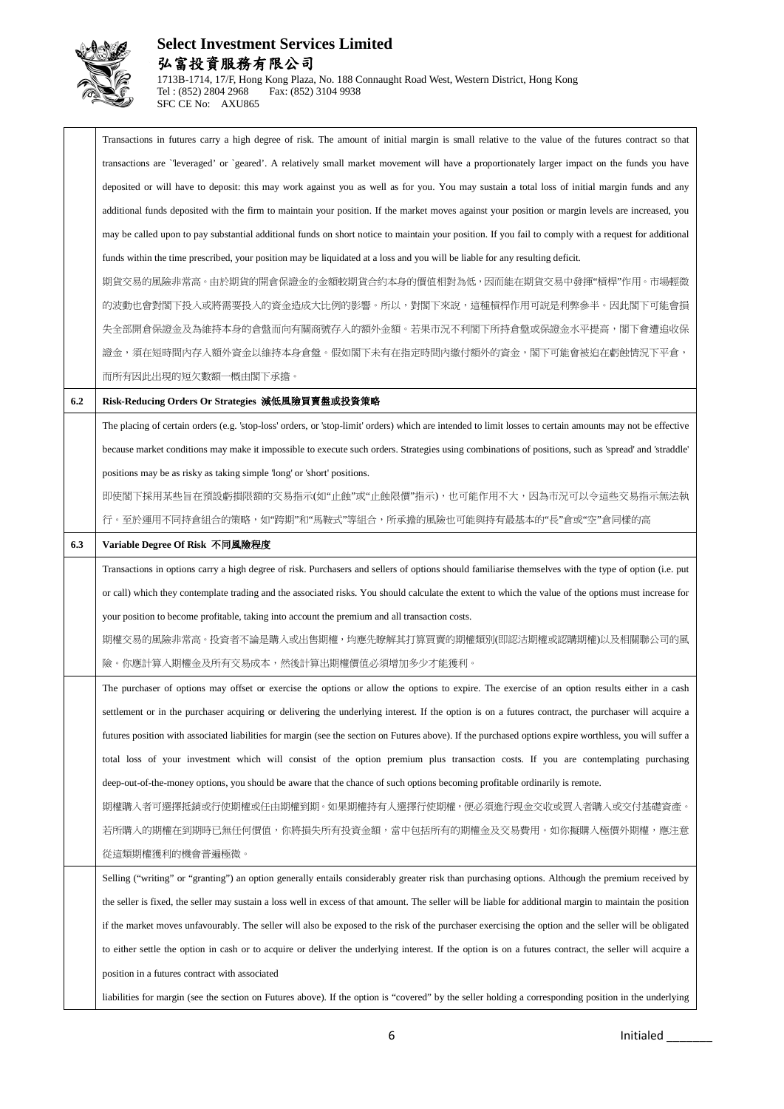

#### **Select Investment Services Limited** 弘富投資服務有限公司 1713B-1714, 17/F, Hong Kong Plaza, No. 188 Connaught Road West, Western District, Hong Kong Fax: (852) 3104 9938

Transactions in futures carry a high degree of risk. The amount of initial margin is small relative to the value of the futures contract so that transactions are `'leveraged' or `geared'. A relatively small market movement will have a proportionately larger impact on the funds you have deposited or will have to deposit: this may work against you as well as for you. You may sustain a total loss of initial margin funds and any additional funds deposited with the firm to maintain your position. If the market moves against your position or margin levels are increased, you may be called upon to pay substantial additional funds on short notice to maintain your position. If you fail to comply with a request for additional funds within the time prescribed, your position may be liquidated at a loss and you will be liable for any resulting deficit. 期貨交易的風險非常高。由於期貨的開倉保證金的金額較期貨合約本身的價值相對為低,因而能在期貨交易中發揮"槓桿"作用。市場輕微 的波動也會對閣下投入或將需要投入的資金造成大比例的影響。所以,對閣下來說,這種槓桿作用可說是利弊參半。因此閣下可能會損 失全部開倉保證金及為維持本身的倉盤而向有關商號存入的額外金額。若果市況不利閣下所持倉盤或保證金水平提高,閣下會遭追收保 證金,須在短時間內存入額外資金以維持本身倉盤。假如閣下未有在指定時間內繳付額外的資金,閣下可能會被迫在虧蝕情況下平倉, 而所有因此出現的短欠數額一概由閣下承擔。 **6.2 Risk-Reducing Orders Or Strategies** 減低風險買賣盤或投資策略 The placing of certain orders (e.g. 'stop-loss' orders, or 'stop-limit' orders) which are intended to limit losses to certain amounts may not be effective because market conditions may make it impossible to execute such orders. Strategies using combinations of positions, such as 'spread' and 'straddle' positions may be as risky as taking simple 'long' or 'short' positions. 即使閣下採用某些旨在預設虧損限額的交易指示(如"止蝕"或"止蝕限價"指示),也可能作用不大,因為市況可以令這些交易指示無法執 行。至於運用不同持倉組合的策略,如"跨期"和"馬鞍式"等組合,所承擔的風險也可能與持有最基本的"長"倉或"空"倉同樣的高 **6.3 Variable Degree Of Risk** 不同風險程度 Transactions in options carry a high degree of risk. Purchasers and sellers of options should familiarise themselves with the type of option (i.e. put or call) which they contemplate trading and the associated risks. You should calculate the extent to which the value of the options must increase for your position to become profitable, taking into account the premium and all transaction costs. 期權交易的風險非常高。投資者不論是購入或出售期權,均應先瞭解其打算買賣的期權類別(即認沽期權或認購期權)以及相關聯公司的風 險。你應計算入期權金及所有交易成本,然後計算出期權價值必須增加多少才能獲利。 The purchaser of options may offset or exercise the options or allow the options to expire. The exercise of an option results either in a cash settlement or in the purchaser acquiring or delivering the underlying interest. If the option is on a futures contract, the purchaser will acquire a futures position with associated liabilities for margin (see the section on Futures above). If the purchased options expire worthless, you will suffer a total loss of your investment which will consist of the option premium plus transaction costs. If you are contemplating purchasing deep-out-of-the-money options, you should be aware that the chance of such options becoming profitable ordinarily is remote. 期權購入者可選擇抵銷或行使期權或任由期權到期。如果期權持有人選擇行使期權,便必須進行現金交收或買入者購入或交付基礎資產。 若所購入的期權在到期時已無任何價值,你將損失所有投資金額,當中包括所有的期權金及交易費用。如你擬購入極價外期權,應注意 從這類期權獲利的機會普遍極微。 Selling ("writing" or "granting") an option generally entails considerably greater risk than purchasing options. Although the premium received by the seller is fixed, the seller may sustain a loss well in excess of that amount. The seller will be liable for additional margin to maintain the position if the market moves unfavourably. The seller will also be exposed to the risk of the purchaser exercising the option and the seller will be obligated to either settle the option in cash or to acquire or deliver the underlying interest. If the option is on a futures contract, the seller will acquire a position in a futures contract with associated liabilities for margin (see the section on Futures above). If the option is "covered" by the seller holding a corresponding position in the underlying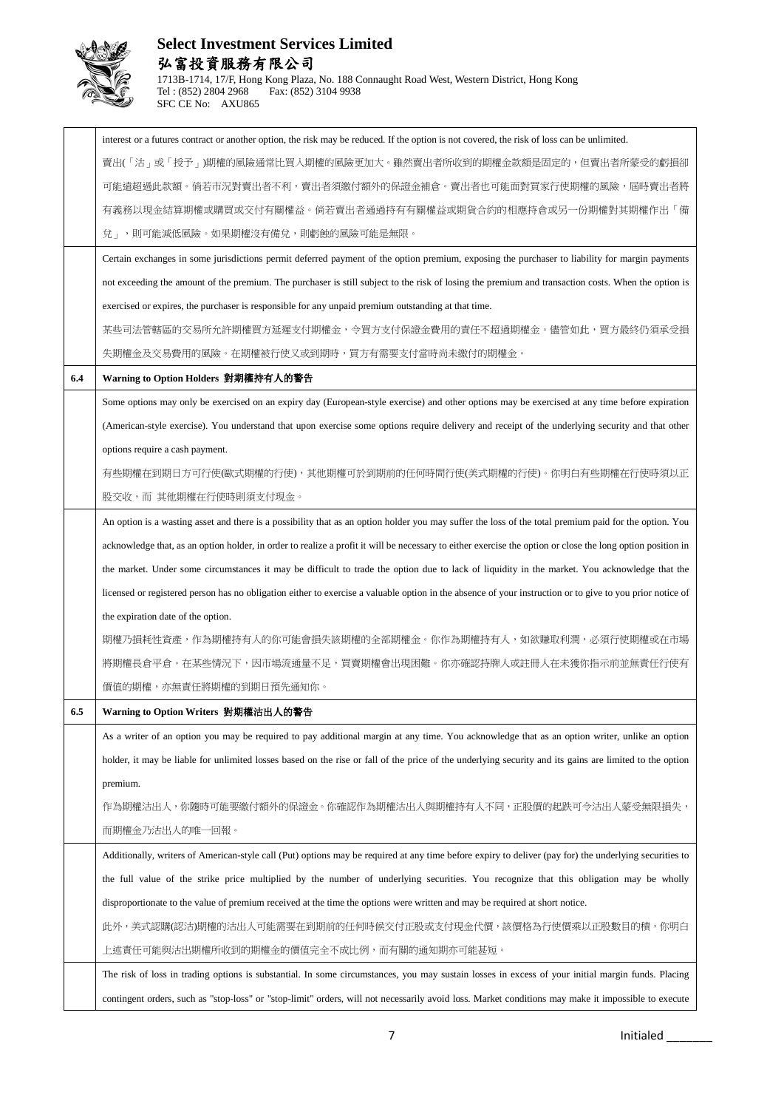

|     | interest or a futures contract or another option, the risk may be reduced. If the option is not covered, the risk of loss can be unlimited.                 |
|-----|-------------------------------------------------------------------------------------------------------------------------------------------------------------|
|     | 賣出(「沽」或「授予」)期權的風險通常比買人期權的風險更加大。雖然賣出者所收到的期權金款額是固定的,但賣出者所蒙受的虧損卻                                                                                               |
|     | 可能遠超過此款額。倘若市況對賣出者不利,賣出者須繳付額外的保證金補倉。賣出者也可能面對買家行使期權的風險,屆時賣出者將                                                                                                 |
|     | 有義務以現金結算期權或購買或交付有關權益。倘若賣出者通過持有有關權益或期貨合約的相應持倉或另一份期權對其期權作出「備                                                                                                  |
|     | 兌」,則可能減低風險。如果期權沒有備兌,則虧蝕的風險可能是無限。                                                                                                                            |
|     | Certain exchanges in some jurisdictions permit deferred payment of the option premium, exposing the purchaser to liability for margin payments              |
|     | not exceeding the amount of the premium. The purchaser is still subject to the risk of losing the premium and transaction costs. When the option is         |
|     | exercised or expires, the purchaser is responsible for any unpaid premium outstanding at that time.                                                         |
|     | 某些司法管轄區的交易所允許期權買方延遲支付期權金,令買方支付保證金費用的責任不超過期權金。儘管如此,買方最終仍須承受損                                                                                                 |
|     | 失期權金及交易費用的風險。在期權被行使又或到期時,買方有需要支付當時尚未繳付的期權金。                                                                                                                 |
| 6.4 | Warning to Option Holders 對期權持有人的警告                                                                                                                         |
|     | Some options may only be exercised on an expiry day (European-style exercise) and other options may be exercised at any time before expiration              |
|     | (American-style exercise). You understand that upon exercise some options require delivery and receipt of the underlying security and that other            |
|     | options require a cash payment.                                                                                                                             |
|     | 有些期權在到期日方可行使(歐式期權的行使),其他期權可於到期前的任何時間行使(美式期權的行使)。你明白有些期權在行使時須以正                                                                                              |
|     | 股交收,而 其他期權在行使時則須支付現金。                                                                                                                                       |
|     | An option is a wasting asset and there is a possibility that as an option holder you may suffer the loss of the total premium paid for the option. You      |
|     | acknowledge that, as an option holder, in order to realize a profit it will be necessary to either exercise the option or close the long option position in |
|     | the market. Under some circumstances it may be difficult to trade the option due to lack of liquidity in the market. You acknowledge that the               |
|     | licensed or registered person has no obligation either to exercise a valuable option in the absence of your instruction or to give to you prior notice of   |
|     | the expiration date of the option.                                                                                                                          |
|     | 期權乃損耗性資產,作為期權持有人的你可能會損失該期權的全部期權金。你作為期權持有人,如欲賺取利潤,必須行使期權或在市場                                                                                                 |
|     | 將期權長倉平倉。在某些情況下,因市場流通量不足,買賣期權會出現困難。你亦確認持牌人或註冊人在未獲你指示前並無責任行使有                                                                                                 |
|     | 價值的期權,亦無責任將期權的到期日預先通知你。                                                                                                                                     |
| 6.5 | Warning to Option Writers 對期權沽出人的警告                                                                                                                         |
|     | As a writer of an option you may be required to pay additional margin at any time. You acknowledge that as an option writer, unlike an option               |
|     | holder, it may be liable for unlimited losses based on the rise or fall of the price of the underlying security and its gains are limited to the option     |
|     | premium.                                                                                                                                                    |
|     | 作為期權沽出人,你隨時可能要繳付額外的保證金。你確認作為期權沽出人與期權持有人不同,正股價的起跌可令沽出人蒙受無限損失,                                                                                                |
|     | 而期權金乃沽出人的唯一回報。                                                                                                                                              |
|     | Additionally, writers of American-style call (Put) options may be required at any time before expiry to deliver (pay for) the underlying securities to      |
|     | the full value of the strike price multiplied by the number of underlying securities. You recognize that this obligation may be wholly                      |
|     | disproportionate to the value of premium received at the time the options were written and may be required at short notice.                                 |
|     | 此外,美式認購(認沽)期權的沽出人可能需要在到期前的任何時候交付正股或支付現金代價,該價格為行使價乘以正股數目的積,你明白                                                                                               |
|     | 上述責任可能與沽出期權所收到的期權金的價值完全不成比例,而有關的通知期亦可能甚短。                                                                                                                   |
|     | The risk of loss in trading options is substantial. In some circumstances, you may sustain losses in excess of your initial margin funds. Placing           |
|     | contingent orders, such as "stop-loss" or "stop-limit" orders, will not necessarily avoid loss. Market conditions may make it impossible to execute         |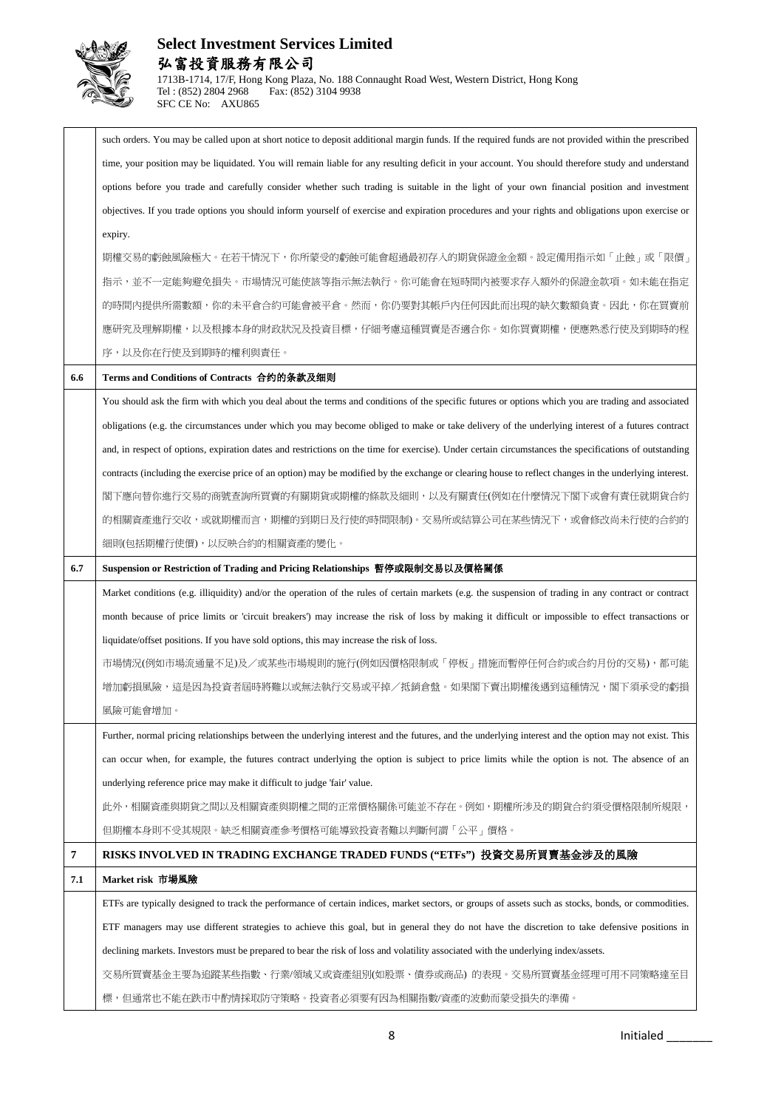

|     | such orders. You may be called upon at short notice to deposit additional margin funds. If the required funds are not provided within the prescribed   |
|-----|--------------------------------------------------------------------------------------------------------------------------------------------------------|
|     | time, your position may be liquidated. You will remain liable for any resulting deficit in your account. You should therefore study and understand     |
|     | options before you trade and carefully consider whether such trading is suitable in the light of your own financial position and investment            |
|     | objectives. If you trade options you should inform yourself of exercise and expiration procedures and your rights and obligations upon exercise or     |
|     | expiry.                                                                                                                                                |
|     | 期權交易的虧蝕風險極大。在若干情況下,你所蒙受的虧蝕可能會超過最初存入的期貨保證金金額。設定備用指示如「止蝕」或「限價」                                                                                           |
|     | 指示,並不一定能夠避免損失。市場情況可能使該等指示無法執行。你可能會在短時間內被要求存入額外的保證金款項。如未能在指定                                                                                            |
|     | 的時間內提供所需數額,你的未平倉合約可能會被平倉。然而,你仍要對其帳戶內任何因此而出現的缺欠數額負責。因此,你在買賣前                                                                                            |
|     | 應研究及理解期權,以及根據本身的財政狀況及投資目標,仔細考慮這種買賣是否適合你。如你買賣期權,便應熟悉行使及到期時的程                                                                                            |
|     | 序,以及你在行使及到期時的權利與責任。                                                                                                                                    |
| 6.6 | Terms and Conditions of Contracts 合约的条款及细则                                                                                                             |
|     | You should ask the firm with which you deal about the terms and conditions of the specific futures or options which you are trading and associated     |
|     | obligations (e.g. the circumstances under which you may become obliged to make or take delivery of the underlying interest of a futures contract       |
|     | and, in respect of options, expiration dates and restrictions on the time for exercise). Under certain circumstances the specifications of outstanding |
|     | contracts (including the exercise price of an option) may be modified by the exchange or clearing house to reflect changes in the underlying interest. |
|     | 閣下應向替你進行交易的商號查詢所買賣的有關期貨或期權的條款及細則,以及有關責任(例如在什麼情況下閣下或會有責任就期貨合約                                                                                           |
|     | 的相關資產進行交收,或就期權而言,期權的到期日及行使的時間限制)。交易所或結算公司在某些情況下,或會修改尚未行使的合約的                                                                                           |
|     | 細則(包括期權行使價),以反映合約的相關資產的變化。                                                                                                                             |
| 6.7 | Suspension or Restriction of Trading and Pricing Relationships 暫停或限制交易以及價格關係                                                                           |
|     | Market conditions (e.g. illiquidity) and/or the operation of the rules of certain markets (e.g. the suspension of trading in any contract or contract  |
|     | month because of price limits or 'circuit breakers') may increase the risk of loss by making it difficult or impossible to effect transactions or      |
|     | liquidate/offset positions. If you have sold options, this may increase the risk of loss.                                                              |
|     | 市場情況(例如市場流通量不足)及/或某些市場規則的施行(例如因價格限制或「停板」措施而暫停任何合約或合約月份的交易),都可能                                                                                         |
|     | 增加虧損風險,這是因為投資者屆時將難以或無法執行交易或平掉/抵銷倉盤。如果閣下賣出期權後遇到這種情況,閣下須承受的虧損                                                                                            |
|     | 風險可能會增加。                                                                                                                                               |
|     | Further, normal pricing relationships between the underlying interest and the futures, and the underlying interest and the option may not exist. This  |
|     | can occur when, for example, the futures contract underlying the option is subject to price limits while the option is not. The absence of an          |
|     | underlying reference price may make it difficult to judge 'fair' value.                                                                                |
|     | 此外,相關資產與期貨之間以及相關資產與期權之間的正常價格關係可能並不存在。例如,期權所涉及的期貨合約須受價格限制所規限,                                                                                           |
|     | 但期權本身則不受其規限。缺乏相關資產參考價格可能導致投資者難以判斷何謂「公平」價格。                                                                                                             |
| 7   | RISKS INVOLVED IN TRADING EXCHANGE TRADED FUNDS ("ETFs") 投資交易所買賣基金涉及的風險                                                                                |
| 7.1 | Market risk 市場風險                                                                                                                                       |
|     | ETFs are typically designed to track the performance of certain indices, market sectors, or groups of assets such as stocks, bonds, or commodities.    |
|     | ETF managers may use different strategies to achieve this goal, but in general they do not have the discretion to take defensive positions in          |
|     |                                                                                                                                                        |
|     | declining markets. Investors must be prepared to bear the risk of loss and volatility associated with the underlying index/assets.                     |
|     | 交易所買賣基金主要為追蹤某些指數、行業/領域又或資產組別(如股票、債券或商品) 的表現。交易所買賣基金經理可用不同策略達至目                                                                                         |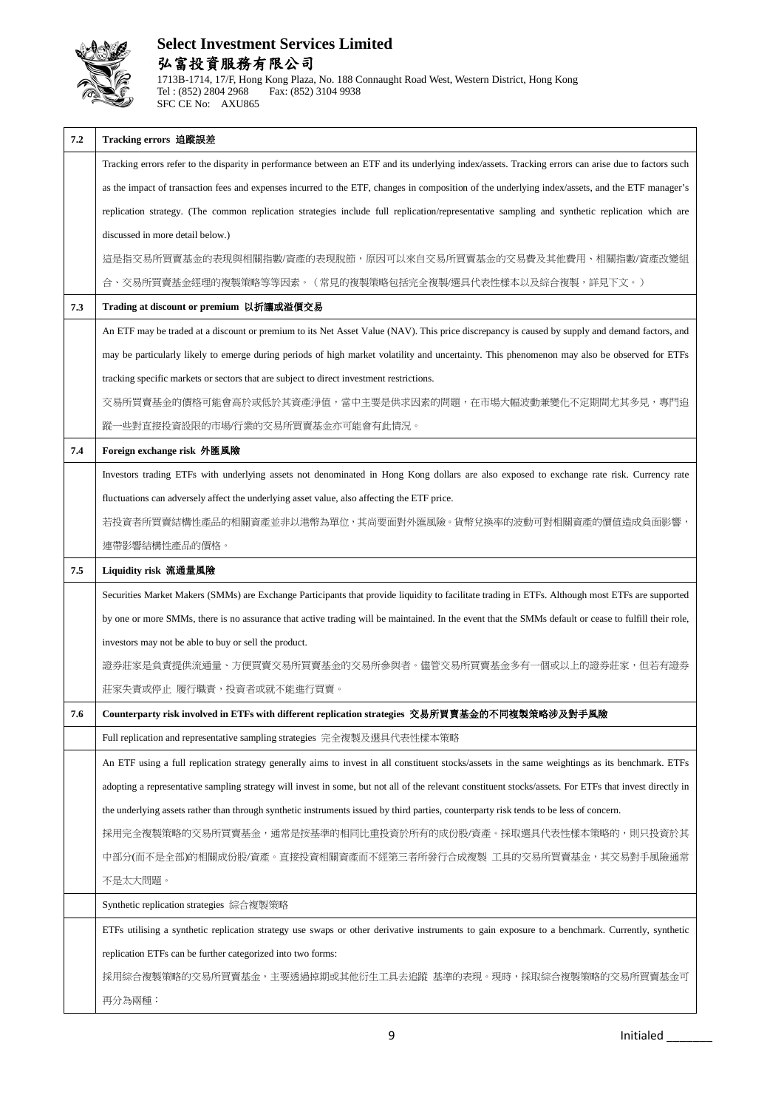

| 7.2 | Tracking errors 追蹤誤差                                                                                                                                     |
|-----|----------------------------------------------------------------------------------------------------------------------------------------------------------|
|     | Tracking errors refer to the disparity in performance between an ETF and its underlying index/assets. Tracking errors can arise due to factors such      |
|     | as the impact of transaction fees and expenses incurred to the ETF, changes in composition of the underlying index/assets, and the ETF manager's         |
|     | replication strategy. (The common replication strategies include full replication/representative sampling and synthetic replication which are            |
|     | discussed in more detail below.)                                                                                                                         |
|     | 這是指交易所買賣基金的表現與相關指數/資產的表現脫節,原因可以來自交易所買賣基金的交易費及其他費用、相關指數/資產改變組                                                                                             |
|     | 合、交易所買賣基金經理的複製策略等等因素。(常見的複製策略包括完全複製/選具代表性樣本以及綜合複製,詳見下文。)                                                                                                 |
| 7.3 | Trading at discount or premium 以折讓或溢價交易                                                                                                                  |
|     | An ETF may be traded at a discount or premium to its Net Asset Value (NAV). This price discrepancy is caused by supply and demand factors, and           |
|     | may be particularly likely to emerge during periods of high market volatility and uncertainty. This phenomenon may also be observed for ETFs             |
|     | tracking specific markets or sectors that are subject to direct investment restrictions.                                                                 |
|     | 交易所買賣基金的價格可能會高於或低於其資產淨值,當中主要是供求因素的問題,在市場大幅波動兼變化不定期間尤其多見,專門追                                                                                              |
|     | 蹤一些對直接投資設限的市場/行業的交易所買賣基金亦可能會有此情況。                                                                                                                        |
| 7.4 | Foreign exchange risk 外匯風險                                                                                                                               |
|     | Investors trading ETFs with underlying assets not denominated in Hong Kong dollars are also exposed to exchange rate risk. Currency rate                 |
|     | fluctuations can adversely affect the underlying asset value, also affecting the ETF price.                                                              |
|     | 若投資者所買賣結構性產品的相關資產並非以港幣為單位,其尚要面對外匯風險。貨幣兌換率的波動可對相關資產的價值造成負面影響                                                                                              |
|     | 連帶影響結構性產品的價格。                                                                                                                                            |
| 7.5 | Liquidity risk 流通量風險                                                                                                                                     |
|     | Securities Market Makers (SMMs) are Exchange Participants that provide liquidity to facilitate trading in ETFs. Although most ETFs are supported         |
|     | by one or more SMMs, there is no assurance that active trading will be maintained. In the event that the SMMs default or cease to fulfill their role,    |
|     | investors may not be able to buy or sell the product.                                                                                                    |
|     | 證券莊家是負責提供流通量、方便買賣交易所買賣基金的交易所參與者。儘管交易所買賣基金多有一個或以上的證券莊家,但若有證券                                                                                              |
|     | 莊家失責或停止 履行職責,投資者或就不能進行買賣。                                                                                                                                |
| 7.6 | Counterparty risk involved in ETFs with different replication strategies 交易所買賣基金的不同複製策略涉及對手風險                                                            |
|     | Full replication and representative sampling strategies 完全複製及選具代表性樣本策略                                                                                   |
|     | An ETF using a full replication strategy generally aims to invest in all constituent stocks/assets in the same weightings as its benchmark. ETFs         |
|     | adopting a representative sampling strategy will invest in some, but not all of the relevant constituent stocks/assets. For ETFs that invest directly in |
|     | the underlying assets rather than through synthetic instruments issued by third parties, counterparty risk tends to be less of concern.                  |
|     | 採用完全複製策略的交易所買賣基金,通常是按基準的相同比重投資於所有的成份股/資產。採取選具代表性樣本策略的,則只投資於其                                                                                             |
|     | 中部分(而不是全部)的相關成份股/資產。直接投資相關資產而不經第三者所發行合成複製 工具的交易所買賣基金,其交易對手風險通常                                                                                           |
|     | 不是太大問題。                                                                                                                                                  |
|     | Synthetic replication strategies 綜合複製策略                                                                                                                  |
|     | ETFs utilising a synthetic replication strategy use swaps or other derivative instruments to gain exposure to a benchmark. Currently, synthetic          |
|     | replication ETFs can be further categorized into two forms:                                                                                              |
|     | 採用綜合複製策略的交易所買賣基金,主要透過掉期或其他衍生工具去追蹤 基準的表現。現時,採取綜合複製策略的交易所買賣基金可                                                                                             |
|     | 再分為兩種:                                                                                                                                                   |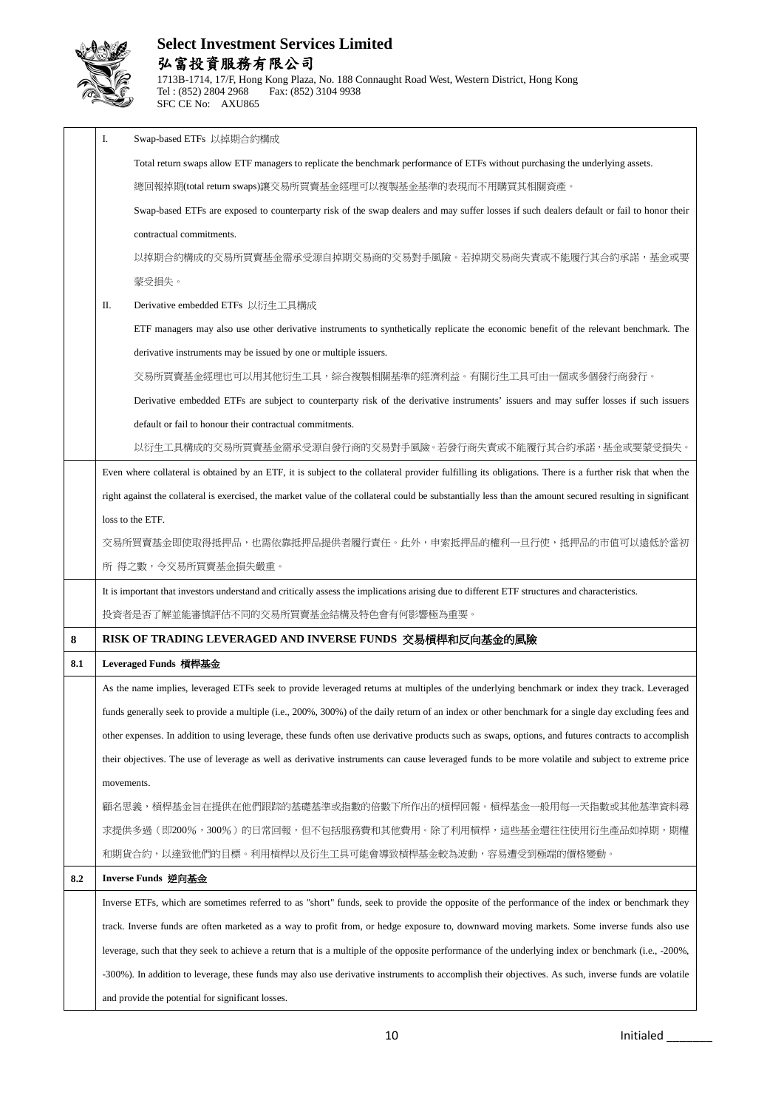

|     | I.         | Swap-based ETFs 以掉期合約構成                                                                                                                                    |
|-----|------------|------------------------------------------------------------------------------------------------------------------------------------------------------------|
|     |            | Total return swaps allow ETF managers to replicate the benchmark performance of ETFs without purchasing the underlying assets.                             |
|     |            | 總回報掉期(total return swaps)讓交易所買賣基金經理可以複製基金基準的表現而不用購買其相關資產。                                                                                                  |
|     |            | Swap-based ETFs are exposed to counterparty risk of the swap dealers and may suffer losses if such dealers default or fail to honor their                  |
|     |            | contractual commitments.                                                                                                                                   |
|     |            | 以掉期合約構成的交易所買賣基金需承受源自掉期交易商的交易對手風險。若掉期交易商失責或不能履行其合約承諾,基金或要                                                                                                   |
|     |            | 蒙受損失。                                                                                                                                                      |
|     | П.         | Derivative embedded ETFs 以衍生工具構成                                                                                                                           |
|     |            | ETF managers may also use other derivative instruments to synthetically replicate the economic benefit of the relevant benchmark. The                      |
|     |            | derivative instruments may be issued by one or multiple issuers.                                                                                           |
|     |            | 交易所買賣基金經理也可以用其他衍生工具,綜合複製相關基準的經濟利益。有關衍生工具可由一個或多個發行商發行。                                                                                                      |
|     |            | Derivative embedded ETFs are subject to counterparty risk of the derivative instruments' issuers and may suffer losses if such issuers                     |
|     |            | default or fail to honour their contractual commitments.                                                                                                   |
|     |            | 以衍生工具構成的交易所買賣基金需承受源自發行商的交易對手風險。若發行商失責或不能履行其合約承諾,基金或要蒙受損失。                                                                                                  |
|     |            | Even where collateral is obtained by an ETF, it is subject to the collateral provider fulfilling its obligations. There is a further risk that when the    |
|     |            | right against the collateral is exercised, the market value of the collateral could be substantially less than the amount secured resulting in significant |
|     |            | loss to the ETF.                                                                                                                                           |
|     |            | 交易所買賣基金即使取得抵押品,也需依靠抵押品提供者履行責任。此外,申索抵押品的權利一旦行使,抵押品的市值可以遠低於當初                                                                                                |
|     |            | 所 得之數,令交易所買賣基金損失嚴重。                                                                                                                                        |
|     |            | It is important that investors understand and critically assess the implications arising due to different ETF structures and characteristics.              |
|     |            | 投資者是否了解並能審慎評估不同的交易所買賣基金結構及特色會有何影響極為重要。                                                                                                                     |
| 8   |            | RISK OF TRADING LEVERAGED AND INVERSE FUNDS 交易槓桿和反向基金的風險                                                                                                   |
| 8.1 |            | Leveraged Funds 槓桿基金                                                                                                                                       |
|     |            | As the name implies, leveraged ETFs seek to provide leveraged returns at multiples of the underlying benchmark or index they track. Leveraged              |
|     |            | funds generally seek to provide a multiple (i.e., 200%, 300%) of the daily return of an index or other benchmark for a single day excluding fees and       |
|     |            | other expenses. In addition to using leverage, these funds often use derivative products such as swaps, options, and futures contracts to accomplish       |
|     |            | their objectives. The use of leverage as well as derivative instruments can cause leveraged funds to be more volatile and subject to extreme price         |
|     |            |                                                                                                                                                            |
|     | movements. |                                                                                                                                                            |
|     |            | 顧名思義,槓桿基金旨在提供在他們跟踪的基礎基準或指數的倍數下所作出的槓桿回報。槓桿基金一般用每一天指數或其他基準資料尋                                                                                                |
|     |            | 求提供多過(即200%,300%)的日常回報,但不包括服務費和其他費用。除了利用槓桿,這些基金還往往使用衍生產品如掉期,期權                                                                                             |
|     |            | 和期貨合約,以達致他們的目標。利用槓桿以及衍生工具可能會導致槓桿基金較為波動,容易遭受到極端的價格變動。                                                                                                       |
| 8.2 |            | Inverse Funds 逆向基金                                                                                                                                         |
|     |            | Inverse ETFs, which are sometimes referred to as "short" funds, seek to provide the opposite of the performance of the index or benchmark they             |
|     |            | track. Inverse funds are often marketed as a way to profit from, or hedge exposure to, downward moving markets. Some inverse funds also use                |
|     |            | leverage, such that they seek to achieve a return that is a multiple of the opposite performance of the underlying index or benchmark (i.e., -200%,        |
|     |            | -300%). In addition to leverage, these funds may also use derivative instruments to accomplish their objectives. As such, inverse funds are volatile       |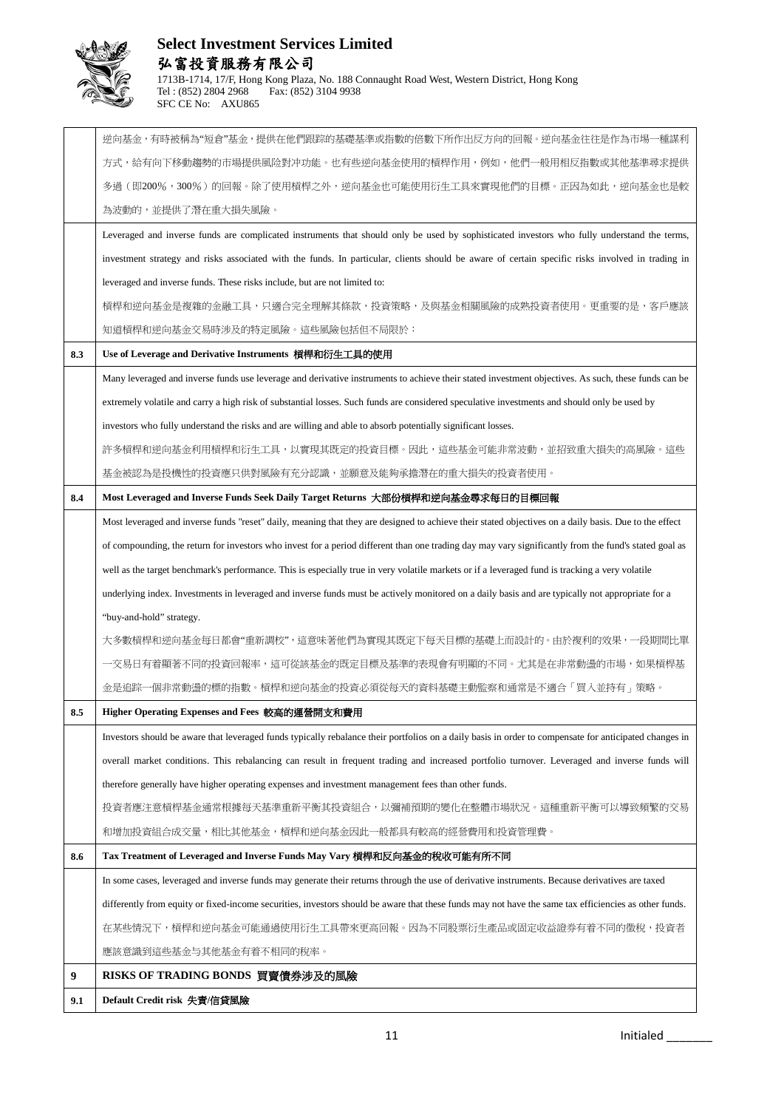

|     | 逆向基金,有時被稱為"短倉"基金,提供在他們跟踪的基礎基準或指數的倍數下所作出反方向的回報。逆向基金往往是作為市場一種謀利                                                                                          |
|-----|--------------------------------------------------------------------------------------------------------------------------------------------------------|
|     | 方式,給有向下移動趨勢的市場提供風险對冲功能。也有些逆向基金使用的槓桿作用,例如,他們一般用相反指數或其他基準尋求提供                                                                                            |
|     | 多過(即200%,300%)的回報。除了使用槓桿之外,逆向基金也可能使用衍生工具來實現他們的目標。正因為如此,逆向基金也是較                                                                                         |
|     | 為波動的,並提供了潛在重大損失風險。                                                                                                                                     |
|     | Leveraged and inverse funds are complicated instruments that should only be used by sophisticated investors who fully understand the terms,            |
|     | investment strategy and risks associated with the funds. In particular, clients should be aware of certain specific risks involved in trading in       |
|     | leveraged and inverse funds. These risks include, but are not limited to:                                                                              |
|     | 槓桿和逆向基金是複雜的金融工具,只適合完全理解其條款,投資策略,及與基金相關風險的成熟投資者使用。更重要的是,客戶應該                                                                                            |
|     | 知道槓桿和逆向基金交易時涉及的特定風險。這些風險包括但不局限於:                                                                                                                       |
| 8.3 | Use of Leverage and Derivative Instruments 槓桿和衍生工具的使用                                                                                                  |
|     | Many leveraged and inverse funds use leverage and derivative instruments to achieve their stated investment objectives. As such, these funds can be    |
|     | extremely volatile and carry a high risk of substantial losses. Such funds are considered speculative investments and should only be used by           |
|     | investors who fully understand the risks and are willing and able to absorb potentially significant losses.                                            |
|     | 許多槓桿和逆向基金利用槓桿和衍生工具,以實現其既定的投資目標。因此,這些基金可能非常波動,並招致重大損失的高風險。這些                                                                                            |
|     | 基金被認為是投機性的投資應只供對風險有充分認識,並願意及能夠承擔潛在的重大損失的投資者使用。                                                                                                         |
| 8.4 | Most Leveraged and Inverse Funds Seek Daily Target Returns 大部份槓桿和逆向基金尋求每日的目標回報                                                                         |
|     | Most leveraged and inverse funds "reset" daily, meaning that they are designed to achieve their stated objectives on a daily basis. Due to the effect  |
|     | of compounding, the return for investors who invest for a period different than one trading day may vary significantly from the fund's stated goal as  |
|     | well as the target benchmark's performance. This is especially true in very volatile markets or if a leveraged fund is tracking a very volatile        |
|     | underlying index. Investments in leveraged and inverse funds must be actively monitored on a daily basis and are typically not appropriate for a       |
|     | "buy-and-hold" strategy.                                                                                                                               |
|     | 大多數槓桿和逆向基金每日都會"重新調校",這意味著他們為實現其既定下每天目標的基礎上而設計的。由於複利的效果,一段期間比單                                                                                          |
|     | 一交易日有着顯著不同的投資回報率,這可從該基金的既定目標及基準的表現會有明顯的不同。尤其是在非常動盪的市場,如果槓桿基                                                                                            |
|     | -個非常動盪的標的指數。槓桿和逆向基金的投資必須從每天的資料基礎主動監察和通常是不適合「買入並持有」策略。<br>金是追踪                                                                                          |
| 8.5 | Higher Operating Expenses and Fees 較高的運營開支和費用                                                                                                          |
|     | Investors should be aware that leveraged funds typically rebalance their portfolios on a daily basis in order to compensate for anticipated changes in |
|     | overall market conditions. This rebalancing can result in frequent trading and increased portfolio turnover. Leveraged and inverse funds will          |
|     | therefore generally have higher operating expenses and investment management fees than other funds.                                                    |
|     | 投資者應注意槓桿基金通常根據每天基準重新平衡其投資組合,以彌補預期的變化在整體市場狀況。這種重新平衡可以導致頻繁的交易                                                                                            |
|     | 和增加投資組合成交量,相比其他基金,槓桿和逆向基金因此一般都具有較高的經營費用和投資管理費。                                                                                                         |
| 8.6 | Tax Treatment of Leveraged and Inverse Funds May Vary 槓桿和反向基金的稅收可能有所不同                                                                                 |
|     | In some cases, leveraged and inverse funds may generate their returns through the use of derivative instruments. Because derivatives are taxed         |
|     | differently from equity or fixed-income securities, investors should be aware that these funds may not have the same tax efficiencies as other funds.  |
|     | 在某些情況下,槓桿和逆向基金可能通過使用衍生工具帶來更高回報。因為不同股票衍生產品或固定收益證券有着不同的徵稅,投資者                                                                                            |
|     | 應該意識到這些基金与其他基金有着不相同的稅率。                                                                                                                                |
| 9   | RISKS OF TRADING BONDS 買賣債券涉及的風險                                                                                                                       |
| 9.1 | Default Credit risk 失責/信貸風險                                                                                                                            |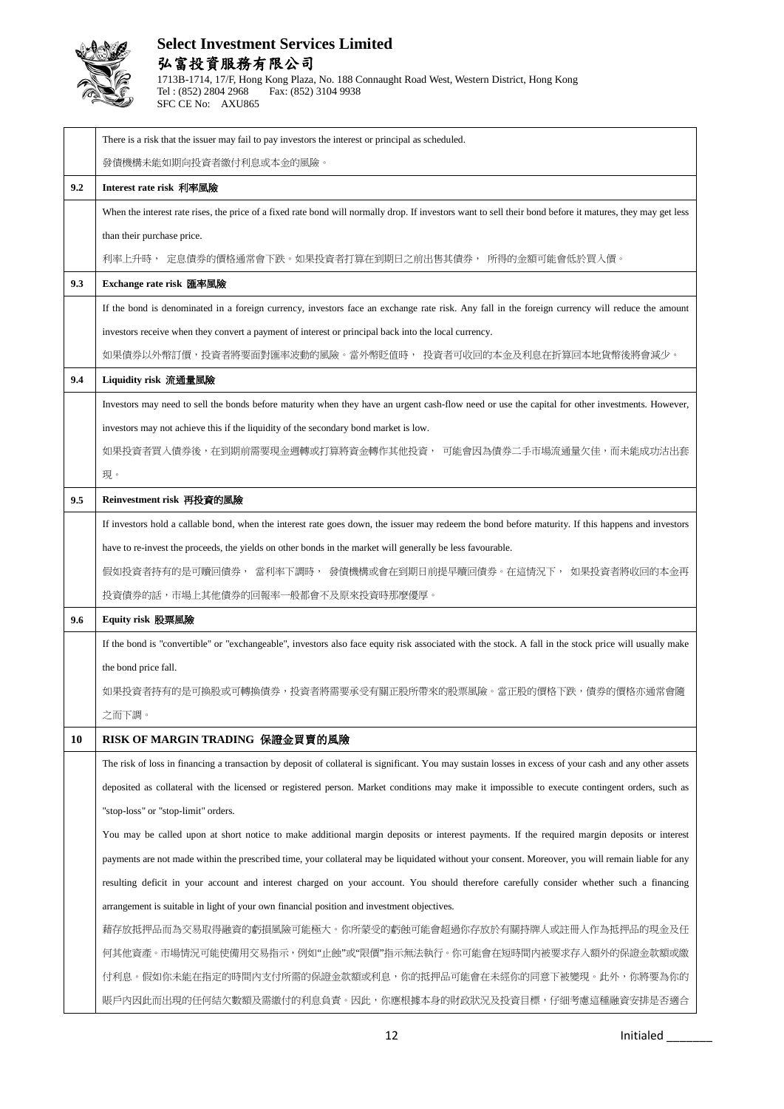

|     | There is a risk that the issuer may fail to pay investors the interest or principal as scheduled.                                                          |
|-----|------------------------------------------------------------------------------------------------------------------------------------------------------------|
|     | 發債機構未能如期向投資者繳付利息或本金的風險。                                                                                                                                    |
| 9.2 | Interest rate risk 利率風險                                                                                                                                    |
|     | When the interest rate rises, the price of a fixed rate bond will normally drop. If investors want to sell their bond before it matures, they may get less |
|     | than their purchase price.                                                                                                                                 |
|     | 利率上升時, 定息債券的價格通常會下跌。如果投資者打算在到期日之前出售其債券, 所得的金額可能會低於買入價。                                                                                                     |
| 9.3 | Exchange rate risk 匯率風險                                                                                                                                    |
|     | If the bond is denominated in a foreign currency, investors face an exchange rate risk. Any fall in the foreign currency will reduce the amount            |
|     | investors receive when they convert a payment of interest or principal back into the local currency.                                                       |
|     | 如果債券以外幣訂價,投資者將要面對匯率波動的風險。當外幣貶值時, 投資者可收回的本金及利息在折算回本地貨幣後將會減少。                                                                                                |
| 9.4 | Liquidity risk 流通量風險                                                                                                                                       |
|     | Investors may need to sell the bonds before maturity when they have an urgent cash-flow need or use the capital for other investments. However,            |
|     | investors may not achieve this if the liquidity of the secondary bond market is low.                                                                       |
|     | 如果投資者買入債券後,在到期前需要現金週轉或打算將資金轉作其他投資, 可能會因為債券二手市場流通量欠佳,而未能成功沽出套                                                                                               |
|     | 現。                                                                                                                                                         |
| 9.5 | Reinvestment risk 再投資的風險                                                                                                                                   |
|     | If investors hold a callable bond, when the interest rate goes down, the issuer may redeem the bond before maturity. If this happens and investors         |
|     | have to re-invest the proceeds, the yields on other bonds in the market will generally be less favourable.                                                 |
|     | 假如投資者持有的是可贖回債券, 當利率下調時, 發債機構或會在到期日前提早贖回債券。在這情況下, 如果投資者將收回的本金再                                                                                              |
|     |                                                                                                                                                            |
|     | 投資債券的話,市場上其他債券的回報率一般都會不及原來投資時那麼優厚。                                                                                                                         |
| 9.6 | Equity risk 股票風險                                                                                                                                           |
|     | If the bond is "convertible" or "exchangeable", investors also face equity risk associated with the stock. A fall in the stock price will usually make     |
|     | the bond price fall.                                                                                                                                       |
|     | 如果投資者持有的是可換股或可轉換債券,投資者將需要承受有關正股所帶來的股票風險。當正股的價格下跌,債券的價格亦通常會隨                                                                                                |
|     | 之而下調。                                                                                                                                                      |
| 10  | RISK OF MARGIN TRADING 保證金買賣的風險                                                                                                                            |
|     | The risk of loss in financing a transaction by deposit of collateral is significant. You may sustain losses in excess of your cash and any other assets    |
|     | deposited as collateral with the licensed or registered person. Market conditions may make it impossible to execute contingent orders, such as             |
|     | "stop-loss" or "stop-limit" orders.                                                                                                                        |
|     | You may be called upon at short notice to make additional margin deposits or interest payments. If the required margin deposits or interest                |
|     | payments are not made within the prescribed time, your collateral may be liquidated without your consent. Moreover, you will remain liable for any         |
|     | resulting deficit in your account and interest charged on your account. You should therefore carefully consider whether such a financing                   |
|     | arrangement is suitable in light of your own financial position and investment objectives.                                                                 |
|     | 藉存放抵押品而為交易取得融資的虧損風險可能極大。你所蒙受的虧蝕可能會超過你存放於有關持牌人或註冊人作為抵押品的現金及任                                                                                                |
|     | 何其他資產。市場情況可能使備用交易指示,例如"止蝕"或"限價"指示無法執行。你可能會在短時間內被要求存入額外的保證金款額或繳                                                                                             |
|     | 付利息。假如你未能在指定的時間內支付所需的保證金款額或利息,你的抵押品可能會在未經你的同意下被變現。此外,你將要為你的                                                                                                |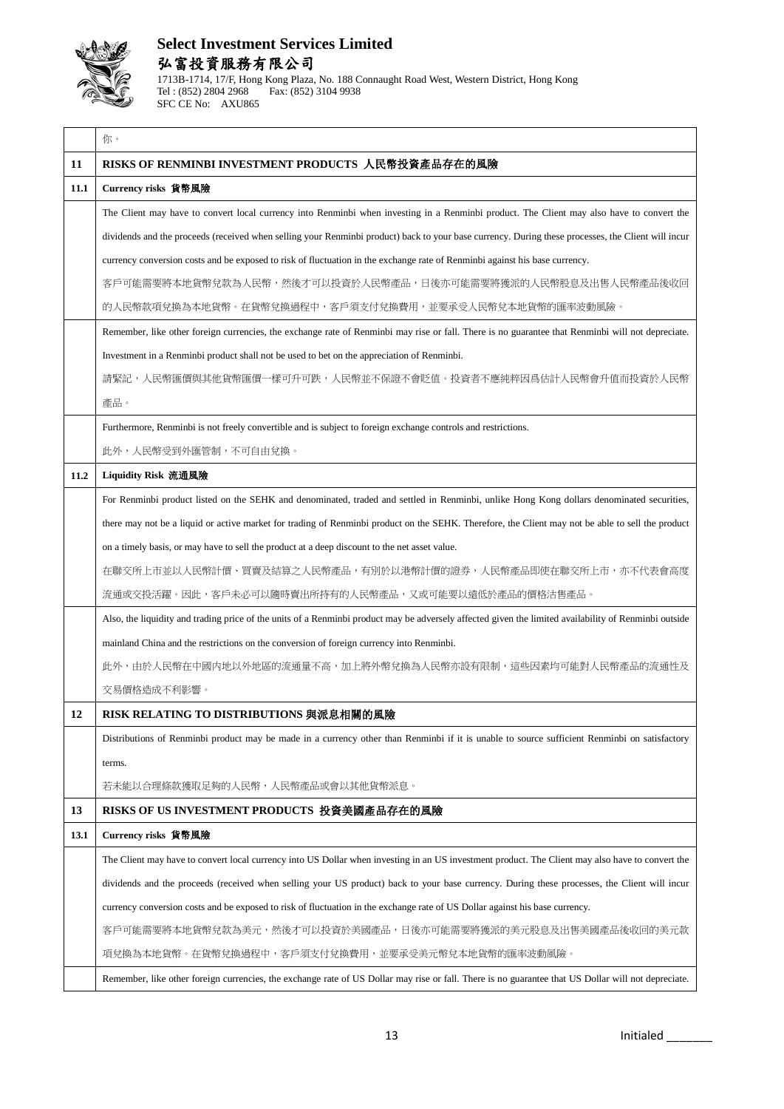

#### **Select Investment Services Limited** 弘富投資服務有限公司 1713B-1714, 17/F, Hong Kong Plaza, No. 188 Connaught Road West, Western District, Hong Kong Fax: (852) 3104 9938

你。 **11 RISKS OF RENMINBI INVESTMENT PRODUCTS** 人民幣投資產品存在的風險 **11.1 Currency risks** 貨幣風險 The Client may have to convert local currency into Renminbi when investing in a Renminbi product. The Client may also have to convert the dividends and the proceeds (received when selling your Renminbi product) back to your base currency. During these processes, the Client will incur currency conversion costs and be exposed to risk of fluctuation in the exchange rate of Renminbi against his base currency. 客戶可能需要將本地貨幣兌款為人民幣,然後才可以投資於人民幣產品,日後亦可能需要將獲派的人民幣股息及出售人民幣產品後收回 的人民幣款項兌換為本地貨幣。在貨幣兌換過程中,客戶須支付兌換費用,並要承受人民幣兌本地貨幣的匯率波動風險。 Remember, like other foreign currencies, the exchange rate of Renminbi may rise or fall. There is no guarantee that Renminbi will not depreciate. Investment in a Renminbi product shall not be used to bet on the appreciation of Renminbi. 請緊記,人民幣匯價與其他貨幣匯價一樣可升可跌,人民幣並不保證不會貶值。投資者不應純粹因爲估計人民幣會升值而投資於人民幣 產品。 Furthermore, Renminbi is not freely convertible and is subject to foreign exchange controls and restrictions. 此外,人民幣受到外匯管制,不可自由兌換。 **11.2 Liquidity Risk** 流通風險 For Renminbi product listed on the SEHK and denominated, traded and settled in Renminbi, unlike Hong Kong dollars denominated securities, there may not be a liquid or active market for trading of Renminbi product on the SEHK. Therefore, the Client may not be able to sell the product on a timely basis, or may have to sell the product at a deep discount to the net asset value. 在聯交所上市並以人民幣計價、買賣及結算之人民幣產品,有別於以港幣計價的證券,人民幣產品即使在聯交所上市,亦不代表會高度 流通或交投活躍。因此,客戶未必可以隨時賣出所持有的人民幣產品,又或可能要以遠低於產品的價格沽售產品。 Also, the liquidity and trading price of the units of a Renminbi product may be adversely affected given the limited availability of Renminbi outside mainland China and the restrictions on the conversion of foreign currency into Renminbi. 此外,由於人民幣在中國内地以外地區的流通量不高,加上將外幣兌換為人民幣亦設有限制,這些因素均可能對人民幣產品的流通性及 交易價格造成不利影響。 **12 RISK RELATING TO DISTRIBUTIONS** 與派息相關的風險 Distributions of Renminbi product may be made in a currency other than Renminbi if it is unable to source sufficient Renminbi on satisfactory terms. 若未能以合理條款獲取足夠的人民幣,人民幣產品或會以其他貨幣派息。 **13 RISKS OF US INVESTMENT PRODUCTS** 投資美國產品存在的風險 **13.1 Currency risks** 貨幣風險 The Client may have to convert local currency into US Dollar when investing in an US investment product. The Client may also have to convert the dividends and the proceeds (received when selling your US product) back to your base currency. During these processes, the Client will incur currency conversion costs and be exposed to risk of fluctuation in the exchange rate of US Dollar against his base currency. 客戶可能需要將本地貨幣兌款為美元,然後才可以投資於美國產品,日後亦可能需要將獲派的美元股息及出售美國產品後收回的美元款 項兌換為本地貨幣。在貨幣兌換過程中,客戶須支付兌換費用,並要承受美元幣兌本地貨幣的匯率波動風險。 Remember, like other foreign currencies, the exchange rate of US Dollar may rise or fall. There is no guarantee that US Dollar will not depreciate.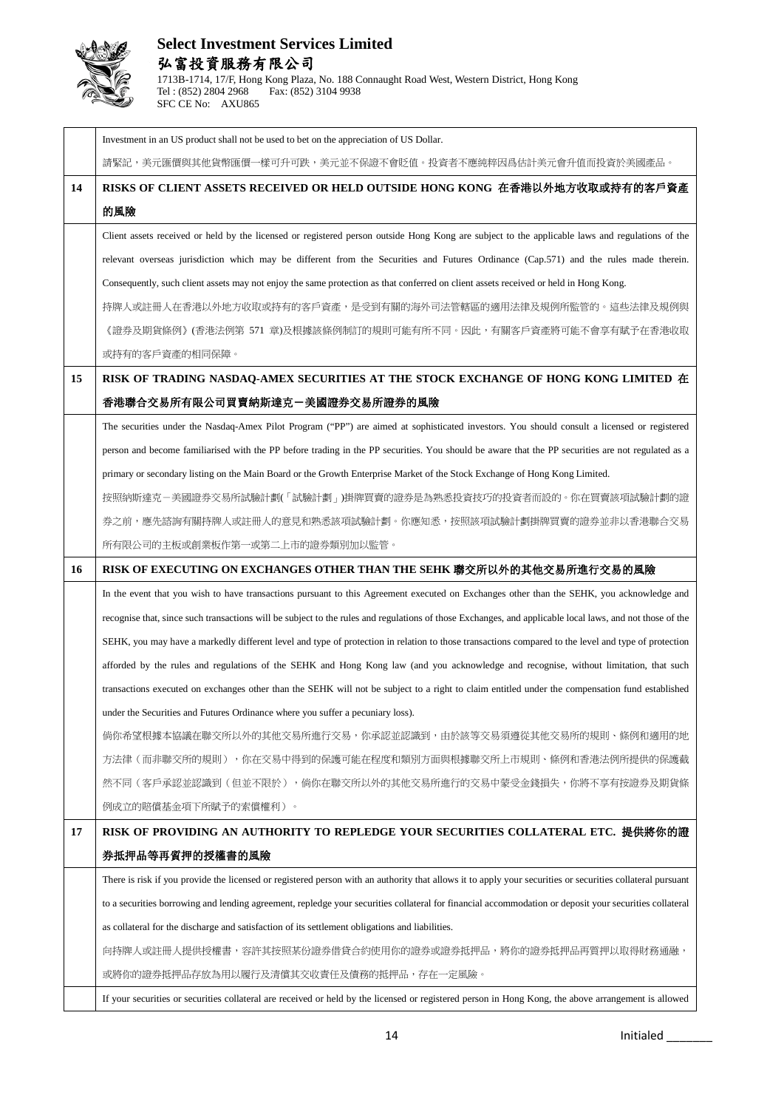

|    | Investment in an US product shall not be used to bet on the appreciation of US Dollar.                                                                     |
|----|------------------------------------------------------------------------------------------------------------------------------------------------------------|
|    | 請緊記,美元匯價與其他貨幣匯價一樣可升可跌,美元並不保證不會貶值。投資者不應純粹因爲估計美元會升值而投資於美國產品。                                                                                                 |
| 14 | RISKS OF CLIENT ASSETS RECEIVED OR HELD OUTSIDE HONG KONG 在香港以外地方收取或持有的客戶資產                                                                                |
|    | 的風險                                                                                                                                                        |
|    | Client assets received or held by the licensed or registered person outside Hong Kong are subject to the applicable laws and regulations of the            |
|    | relevant overseas jurisdiction which may be different from the Securities and Futures Ordinance (Cap.571) and the rules made therein.                      |
|    | Consequently, such client assets may not enjoy the same protection as that conferred on client assets received or held in Hong Kong.                       |
|    | 持牌人或註冊人在香港以外地方收取或持有的客戶資產,是受到有關的海外司法管轄區的適用法律及規例所監管的。這些法律及規例與                                                                                                |
|    | 《證券及期貨條例》(香港法例第 571 章)及根據該條例制訂的規則可能有所不同。因此,有關客戶資產將可能不會享有賦予在香港收取                                                                                            |
|    | 或持有的客戶資產的相同保障。                                                                                                                                             |
| 15 | RISK OF TRADING NASDAQ-AMEX SECURITIES AT THE STOCK EXCHANGE OF HONG KONG LIMITED 在                                                                        |
|    | 香港聯合交易所有限公司買賣納斯達克一美國證券交易所證券的風險                                                                                                                             |
|    | The securities under the Nasdaq-Amex Pilot Program ("PP") are aimed at sophisticated investors. You should consult a licensed or registered                |
|    | person and become familiarised with the PP before trading in the PP securities. You should be aware that the PP securities are not regulated as a          |
|    | primary or secondary listing on the Main Board or the Growth Enterprise Market of the Stock Exchange of Hong Kong Limited.                                 |
|    | 按照納斯達克-美國證券交易所試驗計劃( ' 試驗計劃 」)掛牌買賣的證券是為熟悉投資技巧的投資者而設的。你在買賣該項試驗計劃的證                                                                                           |
|    | 券之前,應先諮詢有關持牌人或註冊人的意見和熟悉該項試驗計劃。你應知悉,按照該項試驗計劃掛牌買賣的證券並非以香港聯合交易                                                                                                |
|    | 所有限公司的主板或創業板作第一或第二上市的證券類別加以監管。                                                                                                                             |
| 16 | RISK OF EXECUTING ON EXCHANGES OTHER THAN THE SEHK 聯交所以外的其他交易所進行交易的風險                                                                                      |
|    | In the event that you wish to have transactions pursuant to this Agreement executed on Exchanges other than the SEHK, you acknowledge and                  |
|    | recognise that, since such transactions will be subject to the rules and regulations of those Exchanges, and applicable local laws, and not those of the   |
|    | SEHK, you may have a markedly different level and type of protection in relation to those transactions compared to the level and type of protection        |
|    | afforded by the rules and regulations of the SEHK and Hong Kong law (and you acknowledge and recognise, without limitation, that such                      |
|    | transactions executed on exchanges other than the SEHK will not be subject to a right to claim entitled under the compensation fund established            |
|    | under the Securities and Futures Ordinance where you suffer a pecuniary loss).                                                                             |
|    | 倘你希望根據本協議在聯交所以外的其他交易所進行交易,你承認並認識到,由於該等交易須遵從其他交易所的規則、條例和適用的地                                                                                                |
|    | 方法律(而非聯交所的規則),你在交易中得到的保護可能在程度和類別方面與根據聯交所上市規則、條例和香港法例所提供的保護截                                                                                                |
|    | 然不同(客戶承認並認識到(但並不限於),倘你在聯交所以外的其他交易所進行的交易中蒙受金錢損失,你將不享有按證券及期貨條                                                                                                |
|    | 例成立的賠償基金項下所賦予的索償權利)。                                                                                                                                       |
| 17 | RISK OF PROVIDING AN AUTHORITY TO REPLEDGE YOUR SECURITIES COLLATERAL ETC. 提供將你的證                                                                          |
|    | 券抵押品等再質押的授權書的風險                                                                                                                                            |
|    | There is risk if you provide the licensed or registered person with an authority that allows it to apply your securities or securities collateral pursuant |
|    | to a securities borrowing and lending agreement, repledge your securities collateral for financial accommodation or deposit your securities collateral     |
|    | as collateral for the discharge and satisfaction of its settlement obligations and liabilities.                                                            |
|    | 向持牌人或註冊人提供授權書,容許其按照某份證券借貸合約使用你的證券或證券抵押品,將你的證券抵押品再質押以取得財務通融,                                                                                                |
|    | 或將你的證券抵押品存放為用以履行及清償其交收責任及債務的抵押品,存在一定風險。                                                                                                                    |
|    | If your securities or securities collateral are received or held by the licensed or registered person in Hong Kong, the above arrangement is allowed       |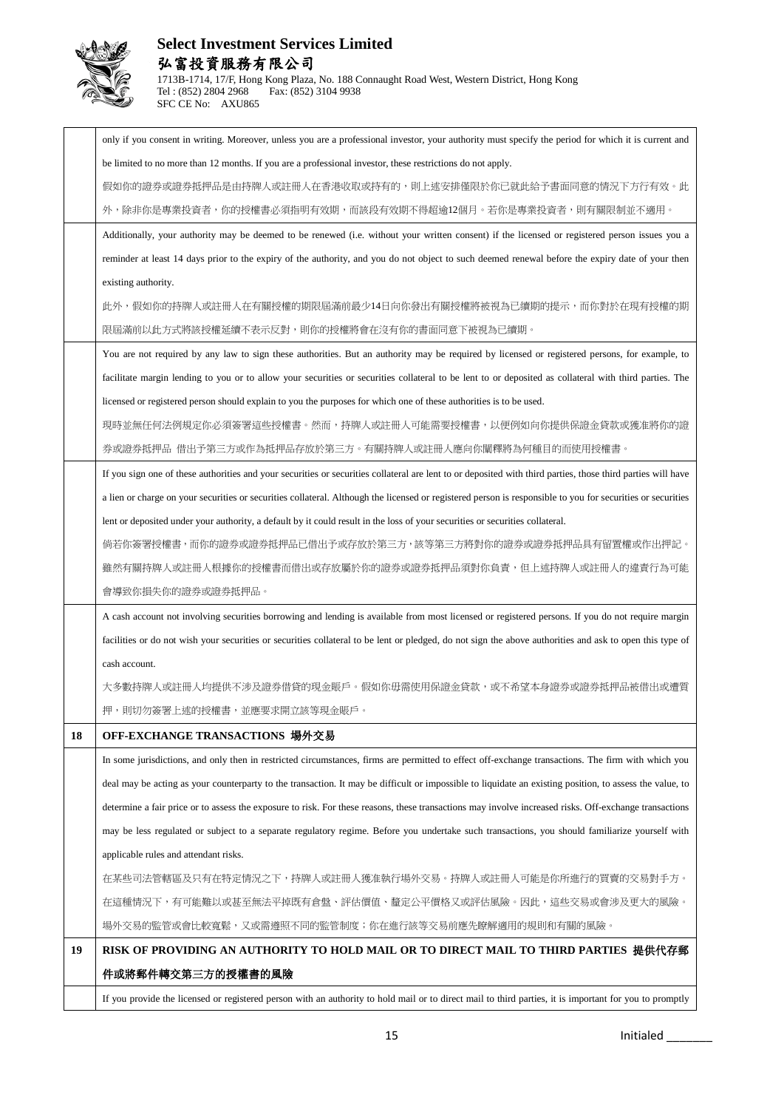

## **Select Investment Services Limited** 弘富投資服務有限公司 1713B-1714, 17/F, Hong Kong Plaza, No. 188 Connaught Road West, Western District, Hong Kong

Tel : (852) 2804 2968 Fax: (852) 3104 9938

SFC CE No: AXU865

|    | only if you consent in writing. Moreover, unless you are a professional investor, your authority must specify the period for which it is current and         |
|----|--------------------------------------------------------------------------------------------------------------------------------------------------------------|
|    | be limited to no more than 12 months. If you are a professional investor, these restrictions do not apply.                                                   |
|    | 假如你的證券或證券抵押品是由持牌人或註冊人在香港收取或持有的,則上述安排僅限於你已就此給予書面同意的情況下方行有效。此                                                                                                  |
|    | 外,除非你是專業投資者,你的授權書必須指明有效期,而該段有效期不得超逾12個月。若你是專業投資者,則有關限制並不適用。                                                                                                  |
|    | Additionally, your authority may be deemed to be renewed (i.e. without your written consent) if the licensed or registered person issues you a               |
|    | reminder at least 14 days prior to the expiry of the authority, and you do not object to such deemed renewal before the expiry date of your then             |
|    | existing authority.                                                                                                                                          |
|    | 此外,假如你的持牌人或註冊人在有關授權的期限屆滿前最少14日向你發出有關授權將被視為已續期的提示,而你對於在現有授權的期                                                                                                 |
|    | 限屆滿前以此方式將該授權延續不表示反對,則你的授權將會在沒有你的書面同意下被視為已續期。                                                                                                                 |
|    | You are not required by any law to sign these authorities. But an authority may be required by licensed or registered persons, for example, to               |
|    | facilitate margin lending to you or to allow your securities or securities collateral to be lent to or deposited as collateral with third parties. The       |
|    | licensed or registered person should explain to you the purposes for which one of these authorities is to be used.                                           |
|    | 現時並無任何法例規定你必須簽署這些授權書。然而,持牌人或註冊人可能需要授權書,以便例如向你提供保證金貸款或獲准將你的證                                                                                                  |
|    | 券或證券抵押品 借出予第三方或作為抵押品存放於第三方。有關持牌人或註冊人應向你闡釋將為何種目的而使用授權書。                                                                                                       |
|    | If you sign one of these authorities and your securities or securities collateral are lent to or deposited with third parties, those third parties will have |
|    | a lien or charge on your securities or securities collateral. Although the licensed or registered person is responsible to you for securities or securities  |
|    | lent or deposited under your authority, a default by it could result in the loss of your securities or securities collateral.                                |
|    | 倘若你簽署授權書,而你的證券或證券抵押品已借出予或存放於第三方,該等第三方將對你的證券或證券抵押品具有留置權或作出押記。                                                                                                 |
|    | 雖然有關持牌人或註冊人根據你的授權書而借出或存放屬於你的證券或證券抵押品須對你負責,但上述持牌人或註冊人的違責行為可能                                                                                                  |
|    | 會導致你損失你的證券或證券抵押品。                                                                                                                                            |
|    | A cash account not involving securities borrowing and lending is available from most licensed or registered persons. If you do not require margin            |
|    | facilities or do not wish your securities or securities collateral to be lent or pledged, do not sign the above authorities and ask to open this type of     |
|    | cash account.                                                                                                                                                |
|    | 大多數持牌人或註冊人均提供不涉及證券借貸的現金賬戶。假如你毋需使用保證金貸款,或不希望本身證券或證券抵押品被借出或遭質                                                                                                  |
|    | 押,則切勿簽署上述的授權書,並應要求開立該等現金賬戶。                                                                                                                                  |
| 18 | OFF-EXCHANGE TRANSACTIONS 場外交易                                                                                                                               |
|    | In some jurisdictions, and only then in restricted circumstances, firms are permitted to effect off-exchange transactions. The firm with which you           |
|    | deal may be acting as your counterparty to the transaction. It may be difficult or impossible to liquidate an existing position, to assess the value, to     |
|    | determine a fair price or to assess the exposure to risk. For these reasons, these transactions may involve increased risks. Off-exchange transactions       |
|    | may be less regulated or subject to a separate regulatory regime. Before you undertake such transactions, you should familiarize yourself with               |
|    | applicable rules and attendant risks.                                                                                                                        |
|    | 在某些司法管轄區及只有在特定情況之下,持牌人或註冊人獲准執行場外交易。持牌人或註冊人可能是你所進行的買賣的交易對手方。                                                                                                  |
|    | 在這種情況下,有可能難以或甚至無法平掉既有倉盤、評估價值、釐定公平價格又或評估風險。因此,這些交易或會涉及更大的風險。                                                                                                  |
|    | 場外交易的監管或會比較寬鬆,又或需遵照不同的監管制度;你在進行該等交易前應先瞭解適用的規則和有關的風險。                                                                                                         |
| 19 | RISK OF PROVIDING AN AUTHORITY TO HOLD MAIL OR TO DIRECT MAIL TO THIRD PARTIES 提供代存郵                                                                         |
|    | 件或將郵件轉交第三方的授權書的風險                                                                                                                                            |
|    | If you provide the licensed or registered person with an authority to hold mail or to direct mail to third parties, it is important for you to promptly      |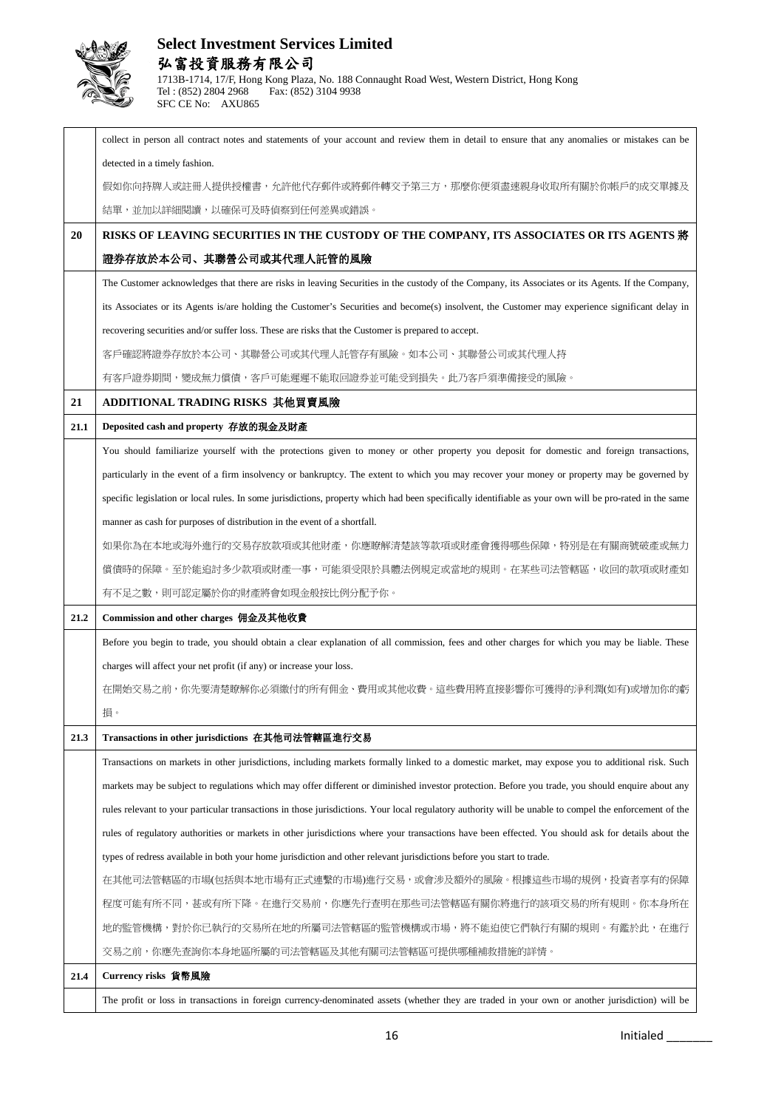

|      | collect in person all contract notes and statements of your account and review them in detail to ensure that any anomalies or mistakes can be           |
|------|---------------------------------------------------------------------------------------------------------------------------------------------------------|
|      | detected in a timely fashion.                                                                                                                           |
|      | 假如你向持牌人或註冊人提供授權書,允許他代存郵件或將郵件轉交予第三方,那麼你便須盡速親身收取所有關於你帳戶的成交單據及                                                                                             |
|      | 結單,並加以詳細閱讀,以確保可及時偵察到任何差異或錯誤。                                                                                                                            |
| 20   | RISKS OF LEAVING SECURITIES IN THE CUSTODY OF THE COMPANY, ITS ASSOCIATES OR ITS AGENTS 將                                                               |
|      | 證券存放於本公司、其聯營公司或其代理人託管的風險                                                                                                                                |
|      | The Customer acknowledges that there are risks in leaving Securities in the custody of the Company, its Associates or its Agents. If the Company,       |
|      | its Associates or its Agents is/are holding the Customer's Securities and become(s) insolvent, the Customer may experience significant delay in         |
|      | recovering securities and/or suffer loss. These are risks that the Customer is prepared to accept.                                                      |
|      | 客戶確認將證券存放於本公司、其聯營公司或其代理人託管存有風險。如本公司、其聯營公司或其代理人持                                                                                                         |
|      | 有客戶證券期間,變成無力償債,客戶可能遲遲不能取回證券並可能受到損失。此乃客戶須準備接受的風險。                                                                                                        |
| 21   | ADDITIONAL TRADING RISKS 其他買賣風險                                                                                                                         |
| 21.1 | Deposited cash and property 存放的現金及財產                                                                                                                    |
|      | You should familiarize yourself with the protections given to money or other property you deposit for domestic and foreign transactions,                |
|      | particularly in the event of a firm insolvency or bankruptcy. The extent to which you may recover your money or property may be governed by             |
|      | specific legislation or local rules. In some jurisdictions, property which had been specifically identifiable as your own will be pro-rated in the same |
|      | manner as cash for purposes of distribution in the event of a shortfall.                                                                                |
|      | 如果你為在本地或海外進行的交易存放款項或其他財產,你應瞭解清楚該等款項或財產會獲得哪些保障,特別是在有關商號破產或無力                                                                                             |
|      | 償債時的保障。至於能追討多少款項或財產一事,可能須受限於具體法例規定或當地的規則。在某些司法管轄區,收回的款項或財產如                                                                                             |
|      |                                                                                                                                                         |
|      | 有不足之數,則可認定屬於你的財產將會如現金般按比例分配予你。                                                                                                                          |
| 21.2 | Commission and other charges 佣金及其他收費                                                                                                                    |
|      | Before you begin to trade, you should obtain a clear explanation of all commission, fees and other charges for which you may be liable. These           |
|      | charges will affect your net profit (if any) or increase your loss.                                                                                     |
|      | 在開始交易之前,你先要清楚瞭解你必須繳付的所有佣金、費用或其他收費。這些費用將直接影響你可獲得的淨利潤(如有)或增加你的虧                                                                                           |
|      | 損。                                                                                                                                                      |
| 21.3 | Transactions in other jurisdictions 在其他司法管轄區進行交易                                                                                                        |
|      | Transactions on markets in other jurisdictions, including markets formally linked to a domestic market, may expose you to additional risk. Such         |
|      | markets may be subject to regulations which may offer different or diminished investor protection. Before you trade, you should enquire about any       |
|      | rules relevant to your particular transactions in those jurisdictions. Your local regulatory authority will be unable to compel the enforcement of the  |
|      | rules of regulatory authorities or markets in other jurisdictions where your transactions have been effected. You should ask for details about the      |
|      | types of redress available in both your home jurisdiction and other relevant jurisdictions before you start to trade.                                   |
|      | 在其他司法管轄區的市場(包括與本地市場有正式連繫的市場)進行交易,或會涉及額外的風險。根據這些市場的規例,投資者享有的保障                                                                                           |
|      | 桯度可能有所不同,甚或有所下降。在進行交易前,你應先行查明在那些司法管轄區有關你將進行的該項交易的所有規則。你本身所在                                                                                             |
|      | 地的監管機構,對於你已執行的交易所在地的所屬司法管轄區的監管機構或市場,將不能迫使它們執行有關的規則。有鑑於此,在進行                                                                                             |
|      | 交易之前,你應先查詢你本身地區所屬的司法管轄區及其他有關司法管轄區可提供哪種補救措施的詳情。                                                                                                          |
| 21.4 | Currency risks 貨幣風險                                                                                                                                     |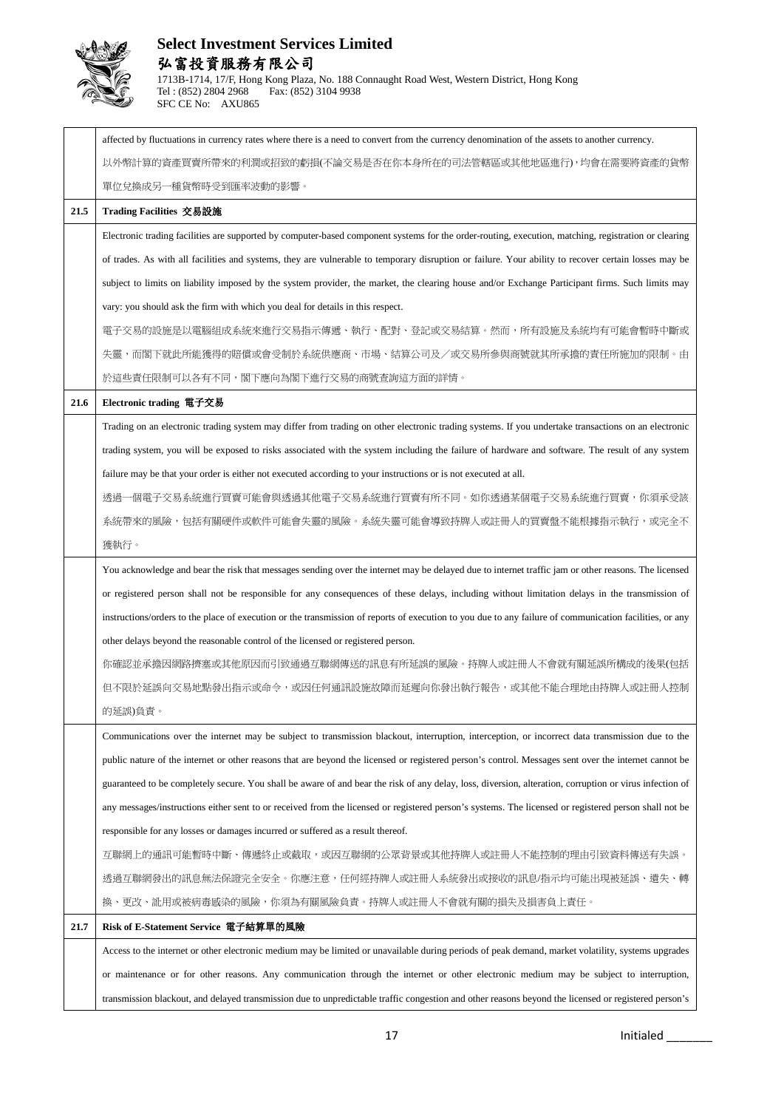

|      | affected by fluctuations in currency rates where there is a need to convert from the currency denomination of the assets to another currency.           |
|------|---------------------------------------------------------------------------------------------------------------------------------------------------------|
|      | 以外幣計算的資產買賣所帶來的利潤或招致的虧損(不論交易是否在你本身所在的司法管轄區或其他地區進行),均會在需要將資產的貨幣                                                                                           |
|      | 單位兌換成另一種貨幣時受到匯率波動的影響。                                                                                                                                   |
| 21.5 | Trading Facilities 交易設施                                                                                                                                 |
|      | Electronic trading facilities are supported by computer-based component systems for the order-routing, execution, matching, registration or clearing    |
|      | of trades. As with all facilities and systems, they are vulnerable to temporary disruption or failure. Your ability to recover certain losses may be    |
|      | subject to limits on liability imposed by the system provider, the market, the clearing house and/or Exchange Participant firms. Such limits may        |
|      | vary: you should ask the firm with which you deal for details in this respect.                                                                          |
|      | 電子交易的設施是以電腦組成系統來進行交易指示傳遞、執行、配對、登記或交易結算。然而,所有設施及系統均有可能會暫時中斷或                                                                                             |
|      | 失靈,而閣下就此所能獲得的賠償或會受制於系統供應商、市場、結算公司及/或交易所參與商號就其所承擔的責任所施加的限制。由                                                                                             |
|      | 於這些責任限制可以各有不同,閣下應向為閣下進行交易的商號查詢這方面的詳情。                                                                                                                   |
| 21.6 | Electronic trading 電子交易                                                                                                                                 |
|      | Trading on an electronic trading system may differ from trading on other electronic trading systems. If you undertake transactions on an electronic     |
|      | trading system, you will be exposed to risks associated with the system including the failure of hardware and software. The result of any system        |
|      | failure may be that your order is either not executed according to your instructions or is not executed at all.                                         |
|      | 透過一個電子交易系統進行買賣可能會與透過其他電子交易系統進行買賣有所不同。如你透過某個電子交易系統進行買賣,你須承受該                                                                                             |
|      | 系統帶來的風險,包括有關硬件或軟件可能會失靈的風險。系統失靈可能會導致持牌人或註冊人的買賣盤不能根據指示執行,或完全不                                                                                             |
|      | 獲執行。                                                                                                                                                    |
|      | You acknowledge and bear the risk that messages sending over the internet may be delayed due to internet traffic jam or other reasons. The licensed     |
|      | or registered person shall not be responsible for any consequences of these delays, including without limitation delays in the transmission of          |
|      | instructions/orders to the place of execution or the transmission of reports of execution to you due to any failure of communication facilities, or any |
|      | other delays beyond the reasonable control of the licensed or registered person.                                                                        |
|      | 你確認並承擔因網路擠塞或其他原因而引致通過互聯網傳送的訊息有所延誤的風險。持牌人或註冊人不會就有關延誤所構成的後果(包括                                                                                            |
|      | 但不限於延誤向交易地點發出指示或命令,或因任何通訊設施故障而延遲向你發出執行報告,或其他不能合理地由持牌人或註冊人控制                                                                                             |
|      | 的延誤)負責。                                                                                                                                                 |
|      | Communications over the internet may be subject to transmission blackout, interruption, interception, or incorrect data transmission due to the         |
|      | public nature of the internet or other reasons that are beyond the licensed or registered person's control. Messages sent over the internet cannot be   |
|      | guaranteed to be completely secure. You shall be aware of and bear the risk of any delay, loss, diversion, alteration, corruption or virus infection of |
|      | any messages/instructions either sent to or received from the licensed or registered person's systems. The licensed or registered person shall not be   |
|      | responsible for any losses or damages incurred or suffered as a result thereof.                                                                         |
|      | 互聯網上的通訊可能暫時中斷、傳遞終止或截取,或因互聯網的公眾背景或其他持牌人或註冊人不能控制的理由引致資料傳送有失誤。                                                                                             |
|      | 透過互聯網發出的訊息無法保證完全安全。你應注意,任何經持牌人或註冊人系統發出或接收的訊息/指示均可能出現被延誤、遺失、轉                                                                                            |
|      | 換、更改、訛用或被病毒感染的風險,你須為有關風險負責。持牌人或註冊人不會就有關的損失及損害負上責任。                                                                                                      |
| 21.7 | Risk of E-Statement Service 電子結算單的風險                                                                                                                    |
|      | Access to the internet or other electronic medium may be limited or unavailable during periods of peak demand, market volatility, systems upgrades      |
|      | or maintenance or for other reasons. Any communication through the internet or other electronic medium may be subject to interruption,                  |
|      | transmission blackout, and delayed transmission due to unpredictable traffic congestion and other reasons beyond the licensed or registered person's    |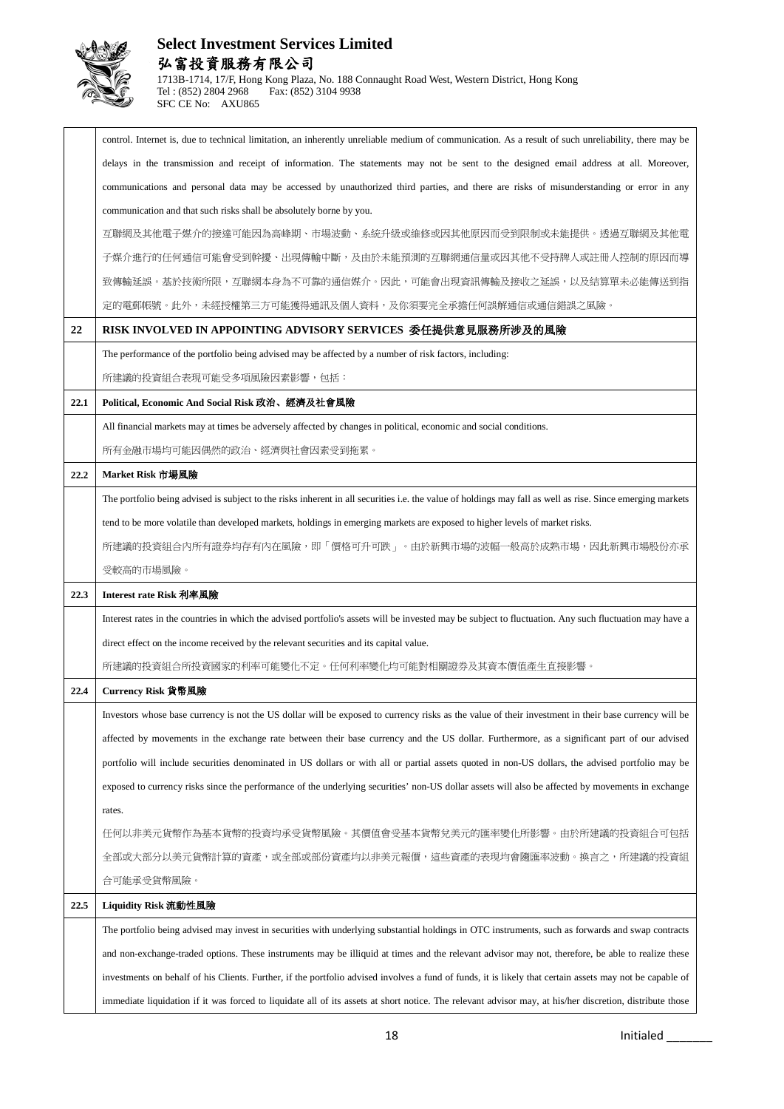

|      | control. Internet is, due to technical limitation, an inherently unreliable medium of communication. As a result of such unreliability, there may be       |
|------|------------------------------------------------------------------------------------------------------------------------------------------------------------|
|      | delays in the transmission and receipt of information. The statements may not be sent to the designed email address at all. Moreover,                      |
|      | communications and personal data may be accessed by unauthorized third parties, and there are risks of misunderstanding or error in any                    |
|      | communication and that such risks shall be absolutely borne by you.                                                                                        |
|      | 互聯網及其他電子媒介的接達可能因為高峰期、市場波動、系統升級或維修或因其他原因而受到限制或未能提供。透過互聯網及其他電                                                                                                |
|      | 子媒介進行的任何通信可能會受到幹擾、出現傳輸中斷,及由於未能預測的互聯網通信量或因其他不受持牌人或註冊人控制的原因而導                                                                                                |
|      | 致傳輸延誤。基於技術所限,互聯網本身為不可靠的通信媒介。因此,可能會出現資訊傳輸及接收之延誤,以及結算單未必能傳送到指                                                                                                |
|      | 定的電郵帳號。此外,未經授權第三方可能獲得通訊及個人資料,及你須要完全承擔任何誤解通信或通信錯誤之風險。                                                                                                       |
| 22   | RISK INVOLVED IN APPOINTING ADVISORY SERVICES  委任提供意見服務所涉及的風險                                                                                              |
|      | The performance of the portfolio being advised may be affected by a number of risk factors, including:                                                     |
|      | 所建議的投資組合表現可能受多項風險因素影響,包括:                                                                                                                                  |
| 22.1 | Political, Economic And Social Risk 政治、經濟及社會風險                                                                                                             |
|      | All financial markets may at times be adversely affected by changes in political, economic and social conditions.                                          |
|      | 所有金融市場均可能因偶然的政治、經濟與社會因素受到拖累。                                                                                                                               |
| 22.2 | Market Risk 市場風險                                                                                                                                           |
|      | The portfolio being advised is subject to the risks inherent in all securities i.e. the value of holdings may fall as well as rise. Since emerging markets |
|      | tend to be more volatile than developed markets, holdings in emerging markets are exposed to higher levels of market risks.                                |
|      | 所建議的投資組合内所有證券均存有內在風險,即「價格可升可跌」。由於新興市場的波幅一般高於成熟市場,因此新興市場股份亦承                                                                                                |
|      | 受較高的市場風險。                                                                                                                                                  |
| 22.3 | Interest rate Risk 利率風險                                                                                                                                    |
|      | Interest rates in the countries in which the advised portfolio's assets will be invested may be subject to fluctuation. Any such fluctuation may have a    |
|      | direct effect on the income received by the relevant securities and its capital value.                                                                     |
|      | 所建議的投資組合所投資國家的利率可能變化不定。任何利率變化均可能對相關證券及其資本價值產生直接影響。                                                                                                         |
| 22.4 |                                                                                                                                                            |
|      | Currency Risk 貨幣風險                                                                                                                                         |
|      | Investors whose base currency is not the US dollar will be exposed to currency risks as the value of their investment in their base currency will be       |
|      | affected by movements in the exchange rate between their base currency and the US dollar. Furthermore, as a significant part of our advised                |
|      | portfolio will include securities denominated in US dollars or with all or partial assets quoted in non-US dollars, the advised portfolio may be           |
|      | exposed to currency risks since the performance of the underlying securities' non-US dollar assets will also be affected by movements in exchange          |
|      | rates.                                                                                                                                                     |
|      | 任何以非美元貨幣作為基本貨幣的投資均承受貨幣風險。其價值會受基本貨幣兌美元的匯率變化所影響。由於所建議的投資組合可包括                                                                                                |
|      | 全部或大部分以美元貨幣計算的資產,或全部或部份資產均以非美元報價,這些資產的表現均會隨匯率波動。換言之,所建議的投資組                                                                                                |
|      | 合可能承受貨幣風險。                                                                                                                                                 |
| 22.5 | Liquidity Risk 流動性風險                                                                                                                                       |
|      | The portfolio being advised may invest in securities with underlying substantial holdings in OTC instruments, such as forwards and swap contracts          |
|      | and non-exchange-traded options. These instruments may be illiquid at times and the relevant advisor may not, therefore, be able to realize these          |
|      | investments on behalf of his Clients. Further, if the portfolio advised involves a fund of funds, it is likely that certain assets may not be capable of   |